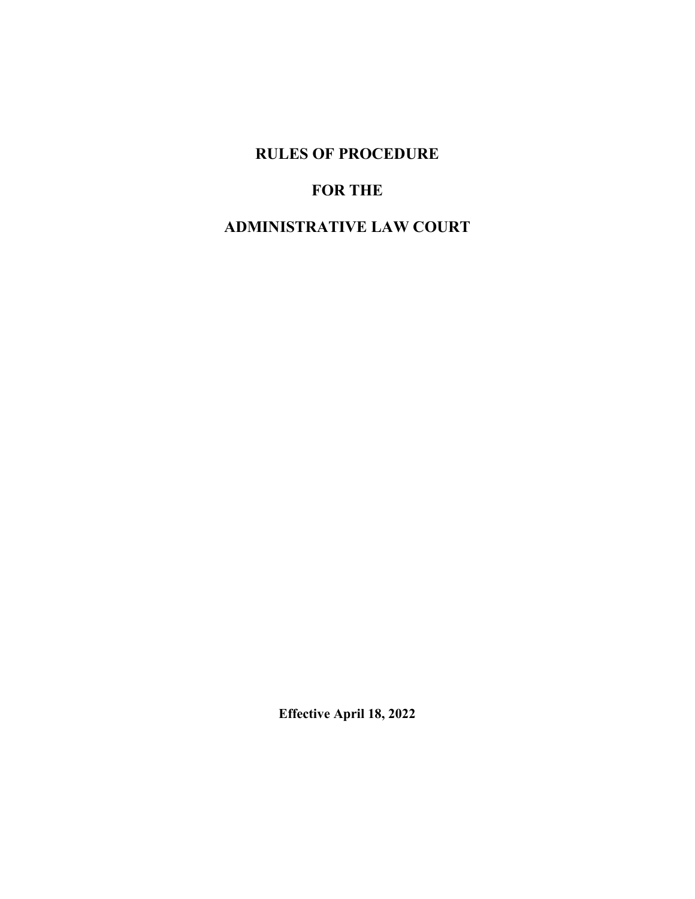**RULES OF PROCEDURE**

# **FOR THE**

# **ADMINISTRATIVE LAW COURT**

**Effective April 18, 2022**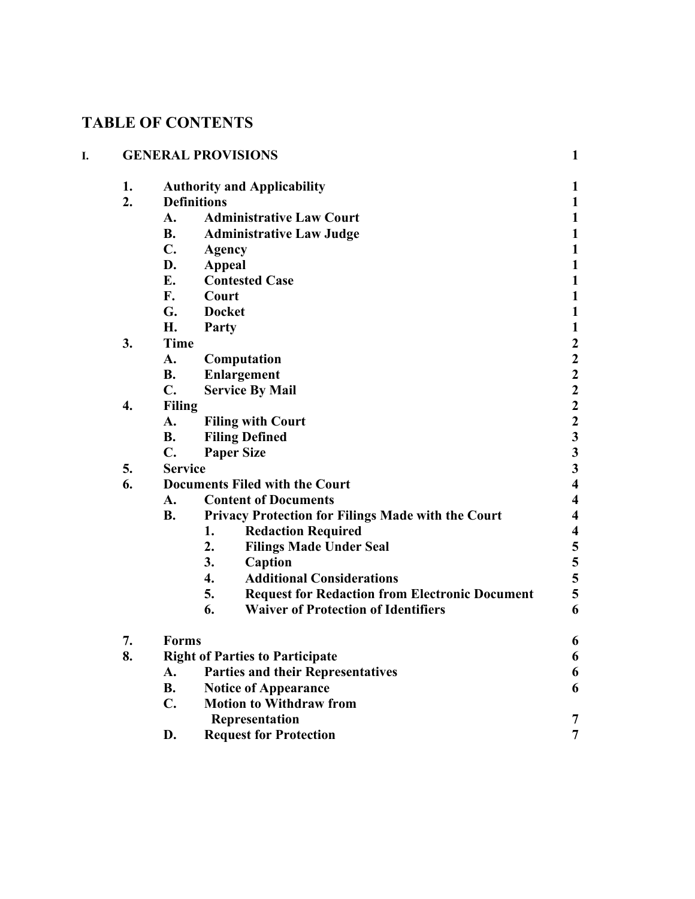# **TABLE OF CONTENTS**

| I. |    | <b>GENERAL PROVISIONS</b> |                                                             |                                            |
|----|----|---------------------------|-------------------------------------------------------------|--------------------------------------------|
|    | 1. |                           | <b>Authority and Applicability</b>                          | 1                                          |
|    | 2. |                           | <b>Definitions</b>                                          | $\mathbf{1}$                               |
|    |    | A.                        | <b>Administrative Law Court</b>                             | $\mathbf{1}$                               |
|    |    | <b>B.</b>                 | <b>Administrative Law Judge</b>                             | $\mathbf{1}$                               |
|    |    | $C_{\bullet}$             | Agency                                                      | $\mathbf{1}$                               |
|    |    | D.                        | <b>Appeal</b>                                               | $\mathbf{1}$                               |
|    |    | E.                        | <b>Contested Case</b>                                       | $\mathbf{1}$                               |
|    |    | F.                        | Court                                                       | $\mathbf{1}$                               |
|    |    | G.                        | <b>Docket</b>                                               | $\mathbf{1}$                               |
|    |    | Η.                        | Party                                                       | $\mathbf{1}$                               |
|    | 3. | <b>Time</b>               |                                                             | $\begin{array}{c} 2 \\ 2 \\ 2 \end{array}$ |
|    |    | A.                        | Computation                                                 |                                            |
|    |    | <b>B.</b>                 | <b>Enlargement</b>                                          |                                            |
|    |    | $\mathbf{C}$ .            | <b>Service By Mail</b>                                      |                                            |
|    | 4. | <b>Filing</b>             |                                                             | $\overline{\mathbf{c}}$                    |
|    |    | A.                        | <b>Filing with Court</b>                                    | $\begin{array}{c} 2 \\ 3 \\ 3 \end{array}$ |
|    |    | <b>B.</b>                 | <b>Filing Defined</b>                                       |                                            |
|    |    | $\mathbf{C}$ .            | <b>Paper Size</b>                                           |                                            |
|    | 5. | <b>Service</b>            |                                                             | $\overline{\mathbf{3}}$                    |
|    | 6. |                           | <b>Documents Filed with the Court</b>                       | $\overline{\mathbf{4}}$                    |
|    |    | A.                        | <b>Content of Documents</b>                                 | $\overline{\mathbf{4}}$                    |
|    |    | <b>B.</b>                 | <b>Privacy Protection for Filings Made with the Court</b>   | $\overline{\mathbf{4}}$                    |
|    |    |                           | <b>Redaction Required</b><br>1.                             | $\overline{\mathbf{4}}$                    |
|    |    |                           | 2.<br><b>Filings Made Under Seal</b>                        | $\frac{5}{5}$ 5 5 5                        |
|    |    |                           | 3.<br>Caption                                               |                                            |
|    |    |                           | <b>Additional Considerations</b><br>$\overline{4}$ .        |                                            |
|    |    |                           | 5.<br><b>Request for Redaction from Electronic Document</b> |                                            |
|    |    |                           | 6.<br><b>Waiver of Protection of Identifiers</b>            | 6                                          |
|    | 7. | Forms                     |                                                             | 6                                          |
|    | 8. |                           | <b>Right of Parties to Participate</b>                      | 6                                          |
|    |    | A.                        | <b>Parties and their Representatives</b>                    | 6                                          |
|    |    | <b>B.</b>                 | <b>Notice of Appearance</b>                                 | 6                                          |
|    |    | $C_{\bullet}$             | <b>Motion to Withdraw from</b>                              |                                            |
|    |    |                           | Representation                                              | 7                                          |
|    |    | D.                        | <b>Request for Protection</b>                               | $\overline{7}$                             |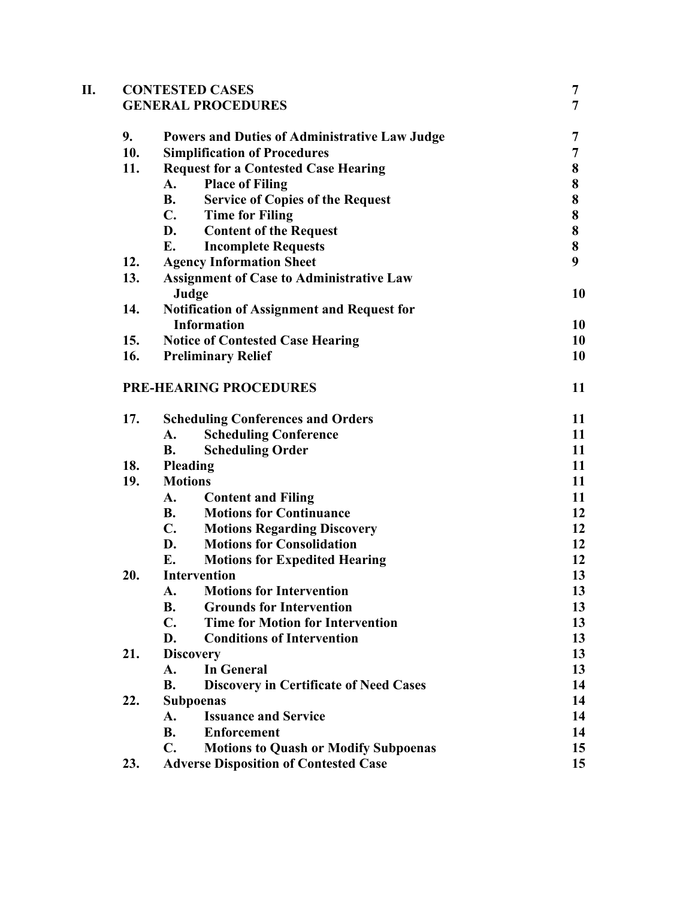| П. |     | <b>CONTESTED CASES</b>                                        | 7              |
|----|-----|---------------------------------------------------------------|----------------|
|    |     | <b>GENERAL PROCEDURES</b>                                     | $\overline{7}$ |
|    | 9.  | <b>Powers and Duties of Administrative Law Judge</b>          | 7              |
|    | 10. | <b>Simplification of Procedures</b>                           | 7              |
|    | 11. | <b>Request for a Contested Case Hearing</b>                   | 8              |
|    |     | <b>Place of Filing</b><br>A.                                  | 8              |
|    |     | <b>B.</b><br><b>Service of Copies of the Request</b>          | 8              |
|    |     | $\mathbf{C}$ .<br><b>Time for Filing</b>                      | 8              |
|    |     | D.<br><b>Content of the Request</b>                           | 8              |
|    |     | <b>Incomplete Requests</b><br>E.                              | 8              |
|    | 12. | <b>Agency Information Sheet</b>                               | 9              |
|    | 13. | <b>Assignment of Case to Administrative Law</b><br>Judge      | 10             |
|    | 14. | <b>Notification of Assignment and Request for</b>             |                |
|    |     | <b>Information</b>                                            | 10             |
|    | 15. | <b>Notice of Contested Case Hearing</b>                       | 10             |
|    | 16. | <b>Preliminary Relief</b>                                     | 10             |
|    |     |                                                               |                |
|    |     | <b>PRE-HEARING PROCEDURES</b>                                 | 11             |
|    | 17. | <b>Scheduling Conferences and Orders</b>                      | 11             |
|    |     | <b>Scheduling Conference</b><br>A.                            | 11             |
|    |     | <b>Scheduling Order</b><br><b>B.</b>                          | 11             |
|    | 18. | Pleading                                                      | 11             |
|    | 19. | <b>Motions</b>                                                | 11             |
|    |     | <b>Content and Filing</b><br>A.                               | 11             |
|    |     | <b>Motions for Continuance</b><br><b>B.</b>                   | 12             |
|    |     | $\mathbf{C}$ .<br><b>Motions Regarding Discovery</b>          | 12             |
|    |     | D.<br><b>Motions for Consolidation</b>                        | 12             |
|    |     | E.<br><b>Motions for Expedited Hearing</b>                    | 12             |
|    | 20. | Intervention                                                  | 13             |
|    |     | <b>Motions for Intervention</b><br>A.                         | 13             |
|    |     | <b>Grounds for Intervention</b><br><b>B.</b>                  | 13             |
|    |     | $\mathbf{C}$ .<br><b>Time for Motion for Intervention</b>     | 13             |
|    |     | D.<br><b>Conditions of Intervention</b>                       | 13             |
|    | 21. | <b>Discovery</b>                                              | 13             |
|    |     | <b>In General</b><br>A.                                       | 13             |
|    |     | <b>B.</b><br><b>Discovery in Certificate of Need Cases</b>    | 14             |
|    | 22. | <b>Subpoenas</b>                                              | 14             |
|    |     | <b>Issuance and Service</b><br>A.                             | 14             |
|    |     | <b>Enforcement</b><br><b>B.</b>                               | 14             |
|    |     | $\mathbf{C}$ .<br><b>Motions to Quash or Modify Subpoenas</b> | 15             |
|    | 23. | <b>Adverse Disposition of Contested Case</b>                  | 15             |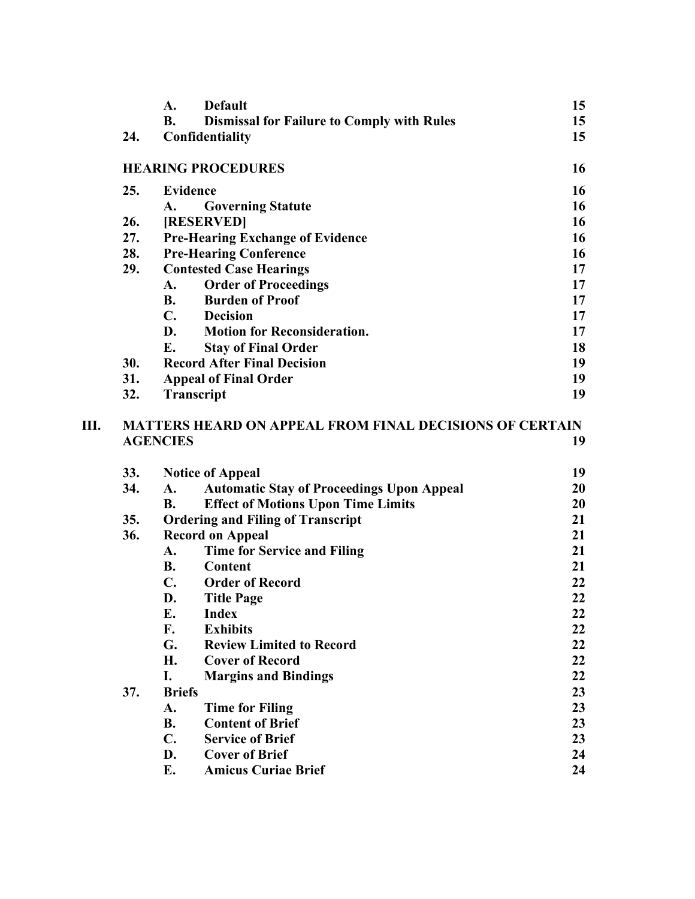|    |     | A.              | <b>Default</b>                                                 | 15 |
|----|-----|-----------------|----------------------------------------------------------------|----|
|    |     | <b>B.</b>       | <b>Dismissal for Failure to Comply with Rules</b>              | 15 |
|    | 24. |                 | Confidentiality                                                | 15 |
|    |     |                 | <b>HEARING PROCEDURES</b>                                      | 16 |
|    | 25. |                 | <b>Evidence</b>                                                | 16 |
|    |     | A.              | <b>Governing Statute</b>                                       | 16 |
|    | 26. |                 | [RESERVED]                                                     | 16 |
|    | 27. |                 | <b>Pre-Hearing Exchange of Evidence</b>                        | 16 |
|    | 28. |                 | <b>Pre-Hearing Conference</b>                                  | 16 |
|    | 29. |                 | <b>Contested Case Hearings</b>                                 | 17 |
|    |     | A.              | <b>Order of Proceedings</b>                                    | 17 |
|    |     | <b>B.</b>       | <b>Burden of Proof</b>                                         | 17 |
|    |     | <b>C.</b>       | <b>Decision</b>                                                | 17 |
|    |     | D.              | <b>Motion for Reconsideration.</b>                             | 17 |
|    |     | E.              | <b>Stay of Final Order</b>                                     | 18 |
|    | 30. |                 | <b>Record After Final Decision</b>                             | 19 |
|    | 31. |                 | <b>Appeal of Final Order</b>                                   | 19 |
|    | 32. |                 | Transcript                                                     | 19 |
| Ш. |     | <b>AGENCIES</b> | <b>MATTERS HEARD ON APPEAL FROM FINAL DECISIONS OF CERTAIN</b> | 19 |
|    |     |                 |                                                                |    |
|    | 33. |                 | <b>Notice of Appeal</b>                                        | 19 |
|    | 34. | A.              | <b>Automatic Stay of Proceedings Upon Appeal</b>               | 20 |
|    |     | <b>B.</b>       | <b>Effect of Motions Upon Time Limits</b>                      | 20 |
|    | 35. |                 | <b>Ordering and Filing of Transcript</b>                       | 21 |
|    | 36. |                 | <b>Record on Appeal</b>                                        | 21 |
|    |     | A.              | <b>Time for Service and Filing</b>                             | 21 |
|    |     | <b>B.</b>       | Content                                                        | 21 |
|    |     | $\mathbf{C}$ .  | <b>Order of Record</b>                                         | 22 |
|    |     | D.              | <b>Title Page</b>                                              | 22 |
|    |     | E.              | Index                                                          | 22 |
|    |     | F.              | <b>Exhibits</b>                                                | 22 |
|    |     | G.              | <b>Review Limited to Record</b>                                | 22 |
|    |     | H.              | <b>Cover of Record</b>                                         | 22 |
|    |     | I.              | <b>Margins and Bindings</b>                                    | 22 |
|    | 37. | <b>Briefs</b>   |                                                                | 23 |
|    |     | A.              | <b>Time for Filing</b>                                         | 23 |
|    |     | <b>B.</b>       | <b>Content of Brief</b>                                        | 23 |
|    |     | $C_{\bullet}$   | <b>Service of Brief</b>                                        | 23 |
|    |     | D.              | <b>Cover of Brief</b>                                          | 24 |
|    |     | Е.              | <b>Amicus Curiae Brief</b>                                     | 24 |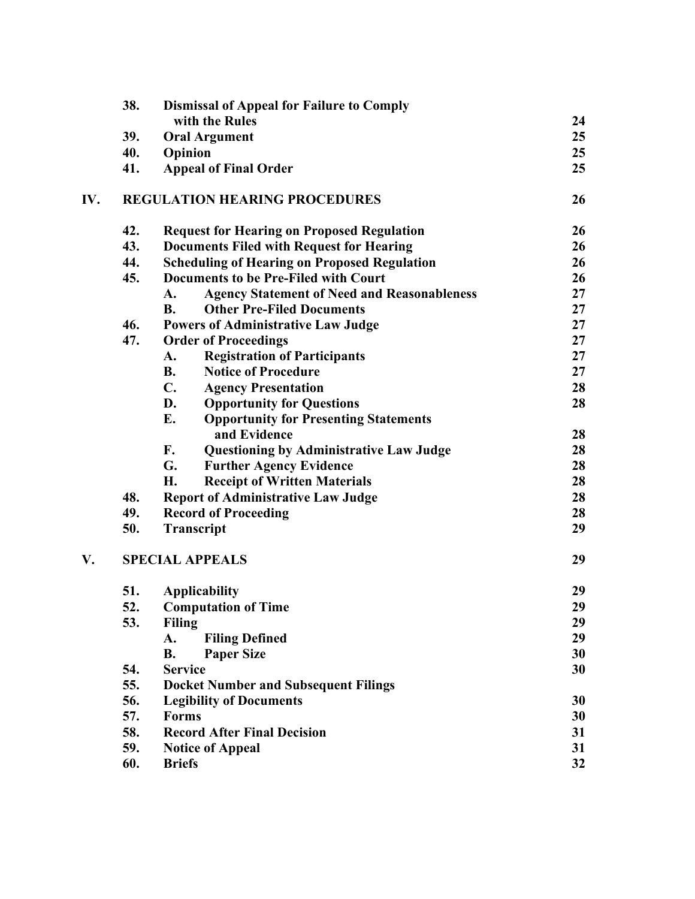|     | 38. | <b>Dismissal of Appeal for Failure to Comply</b>         |    |
|-----|-----|----------------------------------------------------------|----|
|     |     | with the Rules                                           | 24 |
|     | 39. | <b>Oral Argument</b>                                     | 25 |
|     | 40. | Opinion                                                  | 25 |
|     | 41. | <b>Appeal of Final Order</b>                             | 25 |
| IV. |     | <b>REGULATION HEARING PROCEDURES</b>                     | 26 |
|     | 42. | <b>Request for Hearing on Proposed Regulation</b>        | 26 |
|     | 43. | <b>Documents Filed with Request for Hearing</b>          | 26 |
|     | 44. | <b>Scheduling of Hearing on Proposed Regulation</b>      | 26 |
|     | 45. | <b>Documents to be Pre-Filed with Court</b>              | 26 |
|     |     | <b>Agency Statement of Need and Reasonableness</b><br>A. | 27 |
|     |     | <b>Other Pre-Filed Documents</b><br><b>B.</b>            | 27 |
|     | 46. | <b>Powers of Administrative Law Judge</b>                | 27 |
|     | 47. | <b>Order of Proceedings</b>                              | 27 |
|     |     | <b>Registration of Participants</b><br>A.                | 27 |
|     |     | <b>B.</b><br><b>Notice of Procedure</b>                  | 27 |
|     |     | $\mathbf{C}$ .<br><b>Agency Presentation</b>             | 28 |
|     |     | D.<br><b>Opportunity for Questions</b>                   | 28 |
|     |     | E.<br><b>Opportunity for Presenting Statements</b>       |    |
|     |     | and Evidence                                             | 28 |
|     |     | F.<br><b>Questioning by Administrative Law Judge</b>     | 28 |
|     |     | G.<br><b>Further Agency Evidence</b>                     | 28 |
|     |     | H.<br><b>Receipt of Written Materials</b>                | 28 |
|     | 48. | <b>Report of Administrative Law Judge</b>                | 28 |
|     | 49. | <b>Record of Proceeding</b>                              | 28 |
|     | 50. | <b>Transcript</b>                                        | 29 |
| V.  |     | <b>SPECIAL APPEALS</b>                                   | 29 |
|     | 51. | <b>Applicability</b>                                     | 29 |
|     | 52  | <b>Computation of Time</b>                               | 29 |
|     | 53. | <b>Filing</b>                                            | 29 |
|     |     | A.<br><b>Filing Defined</b>                              | 29 |
|     |     | <b>B.</b><br><b>Paper Size</b>                           | 30 |
|     | 54. | <b>Service</b>                                           | 30 |
|     | 55. | <b>Docket Number and Subsequent Filings</b>              |    |
|     | 56. | <b>Legibility of Documents</b>                           | 30 |
|     | 57. | <b>Forms</b>                                             | 30 |
|     | 58. | <b>Record After Final Decision</b>                       | 31 |
|     | 59. | <b>Notice of Appeal</b>                                  | 31 |
|     | 60. | <b>Briefs</b>                                            | 32 |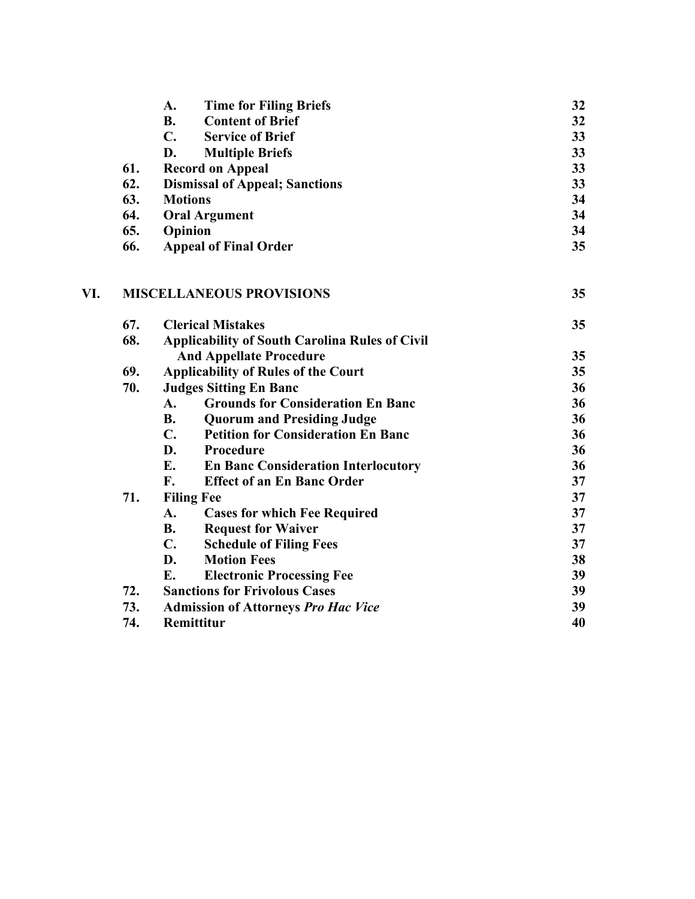|     | <b>Time for Filing Briefs</b><br>А.   | 32 |
|-----|---------------------------------------|----|
|     | <b>Content of Brief</b><br><b>B.</b>  | 32 |
|     | C.<br><b>Service of Brief</b>         | 33 |
|     | <b>Multiple Briefs</b><br>D.          | 33 |
| 61. | <b>Record on Appeal</b>               | 33 |
| 62. | <b>Dismissal of Appeal; Sanctions</b> | 33 |
| 63. | <b>Motions</b>                        | 34 |
| 64. | <b>Oral Argument</b>                  | 34 |
| 65. | Opinion                               | 34 |
| 66. | <b>Appeal of Final Order</b>          | 35 |
|     |                                       |    |
|     |                                       |    |

# **VI. MISCELLANEOUS PROVISIONS 35**

| 67. | <b>Clerical Mistakes</b>                                    | 35 |
|-----|-------------------------------------------------------------|----|
| 68. | <b>Applicability of South Carolina Rules of Civil</b>       |    |
|     | <b>And Appellate Procedure</b>                              | 35 |
| 69. | <b>Applicability of Rules of the Court</b>                  | 35 |
| 70. | <b>Judges Sitting En Banc</b>                               | 36 |
|     | <b>Grounds for Consideration En Banc</b><br>A.              | 36 |
|     | <b>B.</b><br><b>Quorum and Presiding Judge</b>              | 36 |
|     | <b>Petition for Consideration En Banc</b><br>$\mathbf{C}$ . | 36 |
|     | D.<br>Procedure                                             | 36 |
|     | E.<br><b>En Banc Consideration Interlocutory</b>            | 36 |
|     | F.<br><b>Effect of an En Banc Order</b>                     | 37 |
| 71. | <b>Filing Fee</b>                                           | 37 |
|     | <b>Cases for which Fee Required</b><br>A.                   | 37 |
|     | <b>B.</b><br><b>Request for Waiver</b>                      | 37 |
|     | $\mathbf{C}$ .<br><b>Schedule of Filing Fees</b>            | 37 |
|     | D.<br><b>Motion Fees</b>                                    | 38 |
|     | E.<br><b>Electronic Processing Fee</b>                      | 39 |
| 72. | <b>Sanctions for Frivolous Cases</b>                        | 39 |
| 73. | <b>Admission of Attorneys Pro Hac Vice</b>                  | 39 |
| 74. | <b>Remittitur</b>                                           | 40 |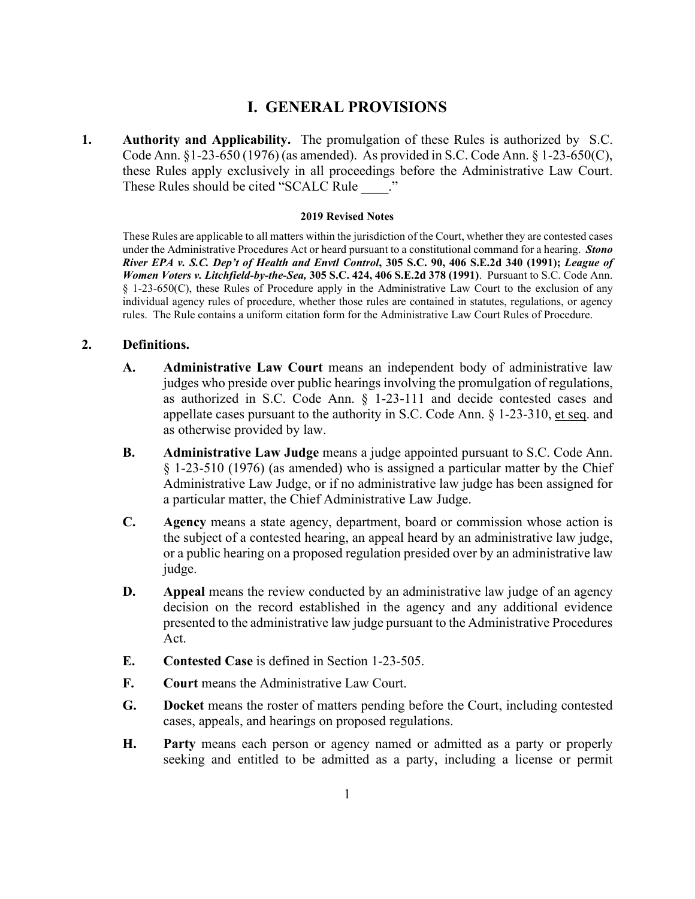# **I. GENERAL PROVISIONS**

**1. Authority and Applicability.** The promulgation of these Rules is authorized by S.C. Code Ann. §1-23-650 (1976) (as amended). As provided in S.C. Code Ann. § 1-23-650(C), these Rules apply exclusively in all proceedings before the Administrative Law Court. These Rules should be cited "SCALC Rule"

#### **2019 Revised Notes**

These Rules are applicable to all matters within the jurisdiction of the Court, whether they are contested cases under the Administrative Procedures Act or heard pursuant to a constitutional command for a hearing. *Stono River EPA v. S.C. Dep't of Health and Envtl Control***, 305 S.C. 90, 406 S.E.2d 340 (1991);** *League of Women Voters v. Litchfield-by-the-Sea,* **305 S.C. 424, 406 S.E.2d 378 (1991)**. Pursuant to S.C. Code Ann. § 1-23-650(C), these Rules of Procedure apply in the Administrative Law Court to the exclusion of any individual agency rules of procedure, whether those rules are contained in statutes, regulations, or agency rules. The Rule contains a uniform citation form for the Administrative Law Court Rules of Procedure.

# **2. Definitions.**

- **A. Administrative Law Court** means an independent body of administrative law judges who preside over public hearings involving the promulgation of regulations, as authorized in S.C. Code Ann. § 1-23-111 and decide contested cases and appellate cases pursuant to the authority in S.C. Code Ann. § 1-23-310, et seq. and as otherwise provided by law.
- **B. Administrative Law Judge** means a judge appointed pursuant to S.C. Code Ann. § 1-23-510 (1976) (as amended) who is assigned a particular matter by the Chief Administrative Law Judge, or if no administrative law judge has been assigned for a particular matter, the Chief Administrative Law Judge.
- **C. Agency** means a state agency, department, board or commission whose action is the subject of a contested hearing, an appeal heard by an administrative law judge, or a public hearing on a proposed regulation presided over by an administrative law judge.
- **D. Appeal** means the review conducted by an administrative law judge of an agency decision on the record established in the agency and any additional evidence presented to the administrative law judge pursuant to the Administrative Procedures Act.
- **E. Contested Case** is defined in Section 1-23-505.
- **F. Court** means the Administrative Law Court.
- **G. Docket** means the roster of matters pending before the Court, including contested cases, appeals, and hearings on proposed regulations.
- **H. Party** means each person or agency named or admitted as a party or properly seeking and entitled to be admitted as a party, including a license or permit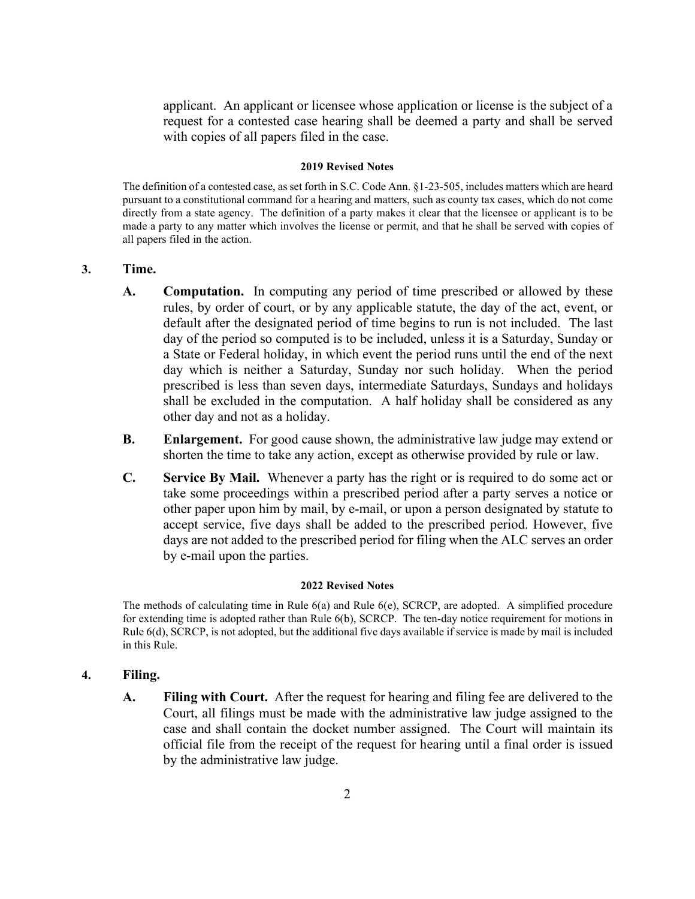applicant. An applicant or licensee whose application or license is the subject of a request for a contested case hearing shall be deemed a party and shall be served with copies of all papers filed in the case.

#### **2019 Revised Notes**

The definition of a contested case, as set forth in S.C. Code Ann. §1-23-505, includes matters which are heard pursuant to a constitutional command for a hearing and matters, such as county tax cases, which do not come directly from a state agency. The definition of a party makes it clear that the licensee or applicant is to be made a party to any matter which involves the license or permit, and that he shall be served with copies of all papers filed in the action.

## **3. Time.**

- **A. Computation.** In computing any period of time prescribed or allowed by these rules, by order of court, or by any applicable statute, the day of the act, event, or default after the designated period of time begins to run is not included. The last day of the period so computed is to be included, unless it is a Saturday, Sunday or a State or Federal holiday, in which event the period runs until the end of the next day which is neither a Saturday, Sunday nor such holiday. When the period prescribed is less than seven days, intermediate Saturdays, Sundays and holidays shall be excluded in the computation. A half holiday shall be considered as any other day and not as a holiday.
- **B. Enlargement.** For good cause shown, the administrative law judge may extend or shorten the time to take any action, except as otherwise provided by rule or law.
- **C. Service By Mail.** Whenever a party has the right or is required to do some act or take some proceedings within a prescribed period after a party serves a notice or other paper upon him by mail, by e-mail, or upon a person designated by statute to accept service, five days shall be added to the prescribed period. However, five days are not added to the prescribed period for filing when the ALC serves an order by e-mail upon the parties.

#### **2022 Revised Notes**

The methods of calculating time in Rule 6(a) and Rule 6(e), SCRCP, are adopted. A simplified procedure for extending time is adopted rather than Rule 6(b), SCRCP. The ten-day notice requirement for motions in Rule 6(d), SCRCP, is not adopted, but the additional five days available if service is made by mail is included in this Rule.

## **4. Filing.**

**A. Filing with Court.** After the request for hearing and filing fee are delivered to the Court, all filings must be made with the administrative law judge assigned to the case and shall contain the docket number assigned. The Court will maintain its official file from the receipt of the request for hearing until a final order is issued by the administrative law judge.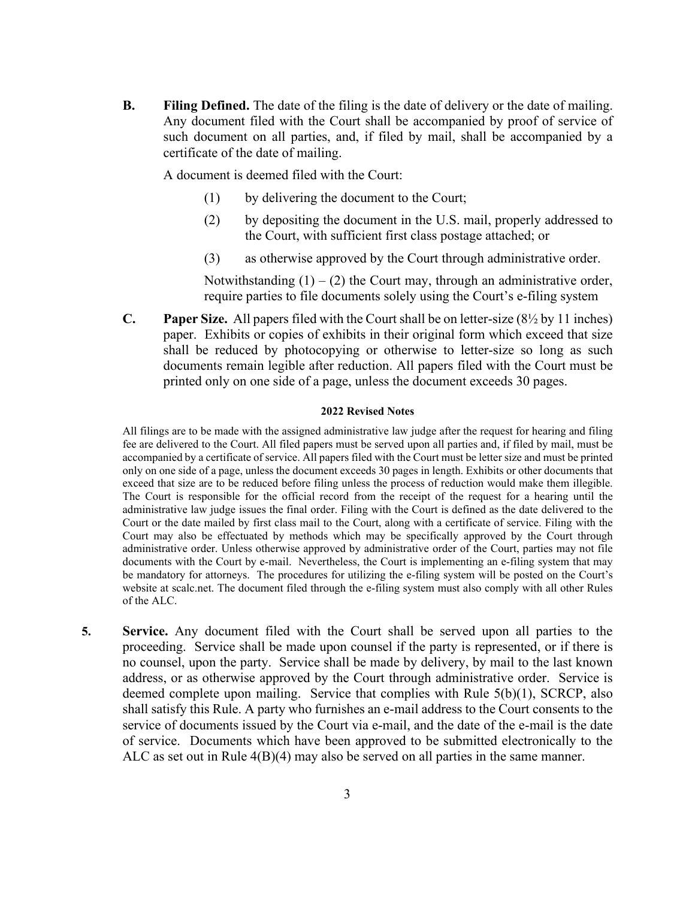**B. Filing Defined.** The date of the filing is the date of delivery or the date of mailing. Any document filed with the Court shall be accompanied by proof of service of such document on all parties, and, if filed by mail, shall be accompanied by a certificate of the date of mailing.

A document is deemed filed with the Court:

- (1) by delivering the document to the Court;
- (2) by depositing the document in the U.S. mail, properly addressed to the Court, with sufficient first class postage attached; or
- (3) as otherwise approved by the Court through administrative order.

Notwithstanding  $(1) - (2)$  the Court may, through an administrative order, require parties to file documents solely using the Court's e-filing system

**C. Paper Size.** All papers filed with the Court shall be on letter-size (8½ by 11 inches) paper. Exhibits or copies of exhibits in their original form which exceed that size shall be reduced by photocopying or otherwise to letter-size so long as such documents remain legible after reduction. All papers filed with the Court must be printed only on one side of a page, unless the document exceeds 30 pages.

#### **2022 Revised Notes**

All filings are to be made with the assigned administrative law judge after the request for hearing and filing fee are delivered to the Court. All filed papers must be served upon all parties and, if filed by mail, must be accompanied by a certificate of service. All papers filed with the Court must be letter size and must be printed only on one side of a page, unless the document exceeds 30 pages in length. Exhibits or other documents that exceed that size are to be reduced before filing unless the process of reduction would make them illegible. The Court is responsible for the official record from the receipt of the request for a hearing until the administrative law judge issues the final order. Filing with the Court is defined as the date delivered to the Court or the date mailed by first class mail to the Court, along with a certificate of service. Filing with the Court may also be effectuated by methods which may be specifically approved by the Court through administrative order. Unless otherwise approved by administrative order of the Court, parties may not file documents with the Court by e-mail. Nevertheless, the Court is implementing an e-filing system that may be mandatory for attorneys. The procedures for utilizing the e-filing system will be posted on the Court's website at scalc.net. The document filed through the e-filing system must also comply with all other Rules of the ALC.

**5. Service.** Any document filed with the Court shall be served upon all parties to the proceeding. Service shall be made upon counsel if the party is represented, or if there is no counsel, upon the party. Service shall be made by delivery, by mail to the last known address, or as otherwise approved by the Court through administrative order. Service is deemed complete upon mailing. Service that complies with Rule 5(b)(1), SCRCP, also shall satisfy this Rule. A party who furnishes an e-mail address to the Court consents to the service of documents issued by the Court via e-mail, and the date of the e-mail is the date of service. Documents which have been approved to be submitted electronically to the ALC as set out in Rule 4(B)(4) may also be served on all parties in the same manner.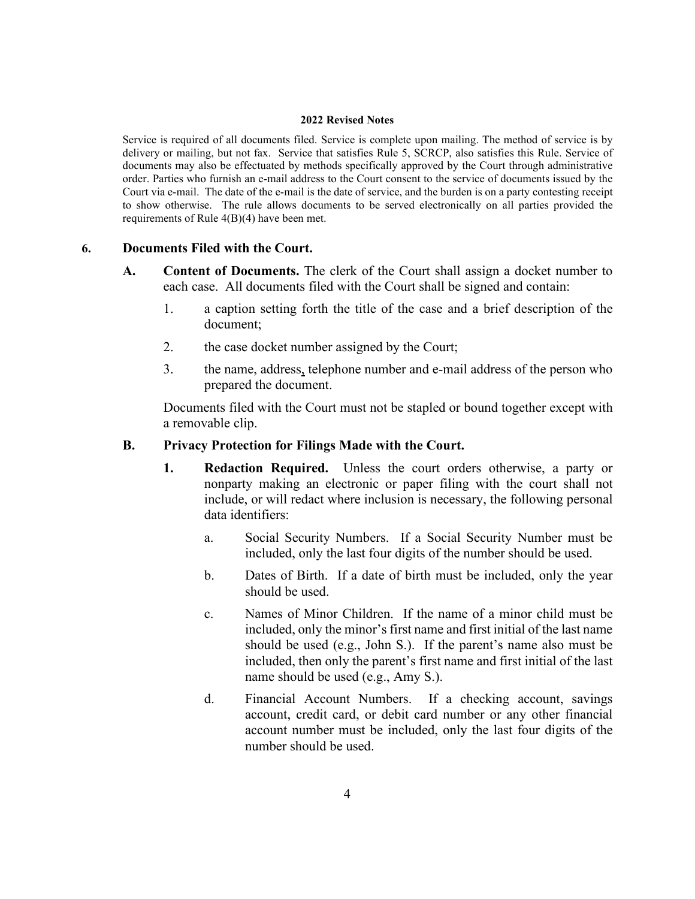Service is required of all documents filed. Service is complete upon mailing. The method of service is by delivery or mailing, but not fax. Service that satisfies Rule 5, SCRCP, also satisfies this Rule. Service of documents may also be effectuated by methods specifically approved by the Court through administrative order. Parties who furnish an e-mail address to the Court consent to the service of documents issued by the Court via e-mail. The date of the e-mail is the date of service, and the burden is on a party contesting receipt to show otherwise. The rule allows documents to be served electronically on all parties provided the requirements of Rule 4(B)(4) have been met.

# **6. Documents Filed with the Court.**

- **A. Content of Documents.** The clerk of the Court shall assign a docket number to each case. All documents filed with the Court shall be signed and contain:
	- 1. a caption setting forth the title of the case and a brief description of the document;
	- 2. the case docket number assigned by the Court;
	- 3. the name, address, telephone number and e-mail address of the person who prepared the document.

Documents filed with the Court must not be stapled or bound together except with a removable clip.

# **B. Privacy Protection for Filings Made with the Court.**

- **1. Redaction Required.** Unless the court orders otherwise, a party or nonparty making an electronic or paper filing with the court shall not include, or will redact where inclusion is necessary, the following personal data identifiers:
	- a. Social Security Numbers. If a Social Security Number must be included, only the last four digits of the number should be used.
	- b. Dates of Birth. If a date of birth must be included, only the year should be used.
	- c. Names of Minor Children. If the name of a minor child must be included, only the minor's first name and first initial of the last name should be used (e.g., John S.). If the parent's name also must be included, then only the parent's first name and first initial of the last name should be used (e.g., Amy S.).
	- d. Financial Account Numbers. If a checking account, savings account, credit card, or debit card number or any other financial account number must be included, only the last four digits of the number should be used.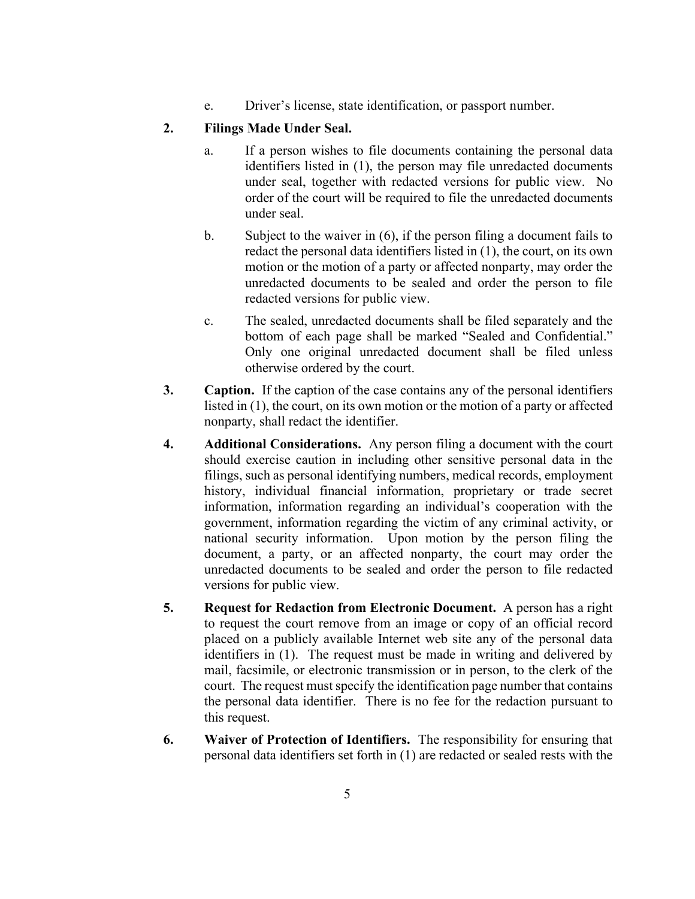e. Driver's license, state identification, or passport number.

# **2. Filings Made Under Seal.**

- a. If a person wishes to file documents containing the personal data identifiers listed in (1), the person may file unredacted documents under seal, together with redacted versions for public view. No order of the court will be required to file the unredacted documents under seal.
- b. Subject to the waiver in (6), if the person filing a document fails to redact the personal data identifiers listed in (1), the court, on its own motion or the motion of a party or affected nonparty, may order the unredacted documents to be sealed and order the person to file redacted versions for public view.
- c. The sealed, unredacted documents shall be filed separately and the bottom of each page shall be marked "Sealed and Confidential." Only one original unredacted document shall be filed unless otherwise ordered by the court.
- **3. Caption.** If the caption of the case contains any of the personal identifiers listed in (1), the court, on its own motion or the motion of a party or affected nonparty, shall redact the identifier.
- **4. Additional Considerations.** Any person filing a document with the court should exercise caution in including other sensitive personal data in the filings, such as personal identifying numbers, medical records, employment history, individual financial information, proprietary or trade secret information, information regarding an individual's cooperation with the government, information regarding the victim of any criminal activity, or national security information. Upon motion by the person filing the document, a party, or an affected nonparty, the court may order the unredacted documents to be sealed and order the person to file redacted versions for public view.
- **5. Request for Redaction from Electronic Document.** A person has a right to request the court remove from an image or copy of an official record placed on a publicly available Internet web site any of the personal data identifiers in (1). The request must be made in writing and delivered by mail, facsimile, or electronic transmission or in person, to the clerk of the court. The request must specify the identification page number that contains the personal data identifier. There is no fee for the redaction pursuant to this request.
- **6. Waiver of Protection of Identifiers.** The responsibility for ensuring that personal data identifiers set forth in (1) are redacted or sealed rests with the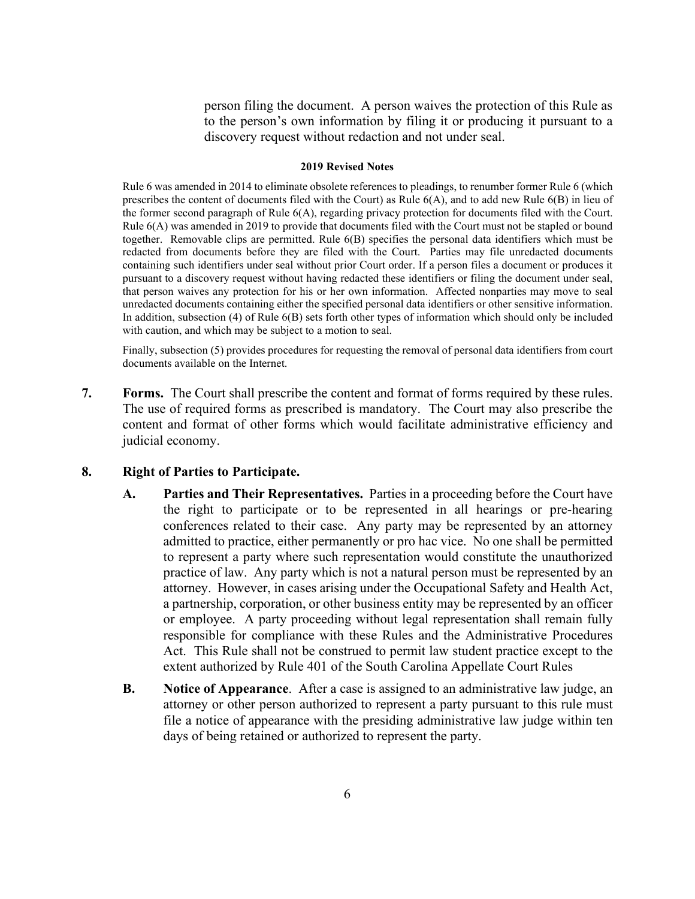person filing the document. A person waives the protection of this Rule as to the person's own information by filing it or producing it pursuant to a discovery request without redaction and not under seal.

#### **2019 Revised Notes**

Rule 6 was amended in 2014 to eliminate obsolete references to pleadings, to renumber former Rule 6 (which prescribes the content of documents filed with the Court) as Rule 6(A), and to add new Rule 6(B) in lieu of the former second paragraph of Rule 6(A), regarding privacy protection for documents filed with the Court. Rule 6(A) was amended in 2019 to provide that documents filed with the Court must not be stapled or bound together. Removable clips are permitted. Rule 6(B) specifies the personal data identifiers which must be redacted from documents before they are filed with the Court. Parties may file unredacted documents containing such identifiers under seal without prior Court order. If a person files a document or produces it pursuant to a discovery request without having redacted these identifiers or filing the document under seal, that person waives any protection for his or her own information. Affected nonparties may move to seal unredacted documents containing either the specified personal data identifiers or other sensitive information. In addition, subsection (4) of Rule 6(B) sets forth other types of information which should only be included with caution, and which may be subject to a motion to seal.

Finally, subsection (5) provides procedures for requesting the removal of personal data identifiers from court documents available on the Internet.

**7. Forms.** The Court shall prescribe the content and format of forms required by these rules. The use of required forms as prescribed is mandatory. The Court may also prescribe the content and format of other forms which would facilitate administrative efficiency and judicial economy.

# **8. Right of Parties to Participate.**

- **A. Parties and Their Representatives.** Parties in a proceeding before the Court have the right to participate or to be represented in all hearings or pre-hearing conferences related to their case. Any party may be represented by an attorney admitted to practice, either permanently or pro hac vice. No one shall be permitted to represent a party where such representation would constitute the unauthorized practice of law. Any party which is not a natural person must be represented by an attorney. However, in cases arising under the Occupational Safety and Health Act, a partnership, corporation, or other business entity may be represented by an officer or employee. A party proceeding without legal representation shall remain fully responsible for compliance with these Rules and the Administrative Procedures Act. This Rule shall not be construed to permit law student practice except to the extent authorized by Rule 401 of the South Carolina Appellate Court Rules
- **B. Notice of Appearance**. After a case is assigned to an administrative law judge, an attorney or other person authorized to represent a party pursuant to this rule must file a notice of appearance with the presiding administrative law judge within ten days of being retained or authorized to represent the party.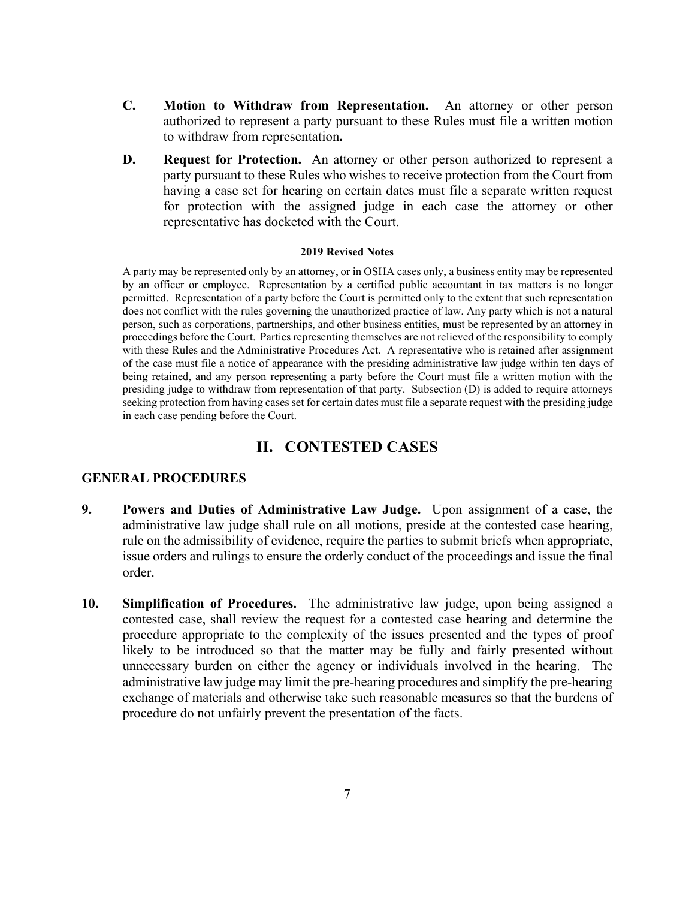- **C. Motion to Withdraw from Representation.** An attorney or other person authorized to represent a party pursuant to these Rules must file a written motion to withdraw from representation**.**
- **D. Request for Protection.** An attorney or other person authorized to represent a party pursuant to these Rules who wishes to receive protection from the Court from having a case set for hearing on certain dates must file a separate written request for protection with the assigned judge in each case the attorney or other representative has docketed with the Court.

A party may be represented only by an attorney, or in OSHA cases only, a business entity may be represented by an officer or employee. Representation by a certified public accountant in tax matters is no longer permitted. Representation of a party before the Court is permitted only to the extent that such representation does not conflict with the rules governing the unauthorized practice of law. Any party which is not a natural person, such as corporations, partnerships, and other business entities, must be represented by an attorney in proceedings before the Court. Parties representing themselves are not relieved of the responsibility to comply with these Rules and the Administrative Procedures Act. A representative who is retained after assignment of the case must file a notice of appearance with the presiding administrative law judge within ten days of being retained, and any person representing a party before the Court must file a written motion with the presiding judge to withdraw from representation of that party. Subsection (D) is added to require attorneys seeking protection from having cases set for certain dates must file a separate request with the presiding judge in each case pending before the Court.

# **II. CONTESTED CASES**

# **GENERAL PROCEDURES**

- **9. Powers and Duties of Administrative Law Judge.** Upon assignment of a case, the administrative law judge shall rule on all motions, preside at the contested case hearing, rule on the admissibility of evidence, require the parties to submit briefs when appropriate, issue orders and rulings to ensure the orderly conduct of the proceedings and issue the final order.
- **10. Simplification of Procedures.** The administrative law judge, upon being assigned a contested case, shall review the request for a contested case hearing and determine the procedure appropriate to the complexity of the issues presented and the types of proof likely to be introduced so that the matter may be fully and fairly presented without unnecessary burden on either the agency or individuals involved in the hearing. The administrative law judge may limit the pre-hearing procedures and simplify the pre-hearing exchange of materials and otherwise take such reasonable measures so that the burdens of procedure do not unfairly prevent the presentation of the facts.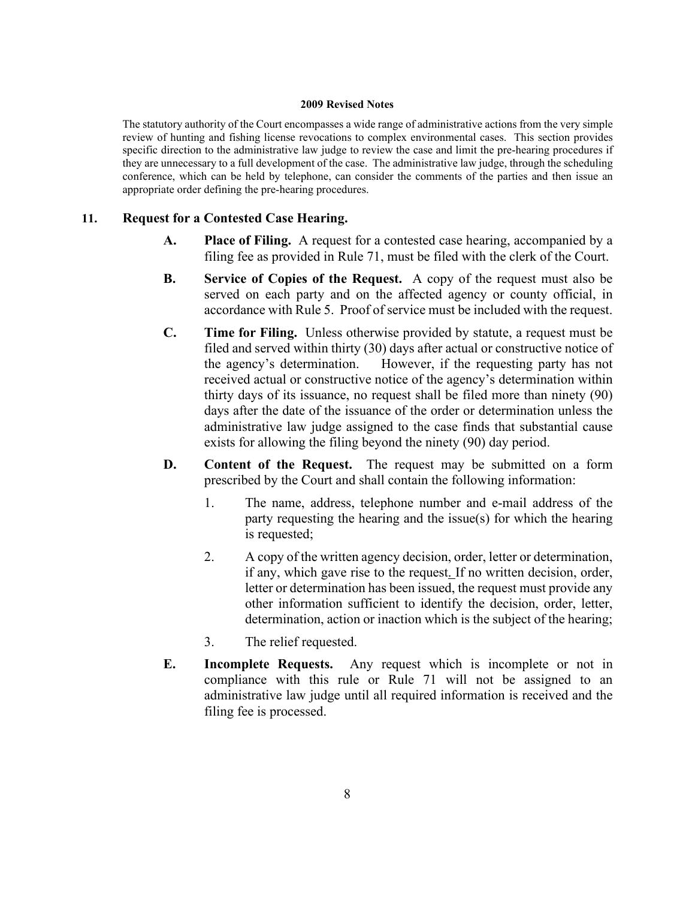The statutory authority of the Court encompasses a wide range of administrative actions from the very simple review of hunting and fishing license revocations to complex environmental cases. This section provides specific direction to the administrative law judge to review the case and limit the pre-hearing procedures if they are unnecessary to a full development of the case. The administrative law judge, through the scheduling conference, which can be held by telephone, can consider the comments of the parties and then issue an appropriate order defining the pre-hearing procedures.

# **11. Request for a Contested Case Hearing.**

- **A. Place of Filing.** A request for a contested case hearing, accompanied by a filing fee as provided in Rule 71, must be filed with the clerk of the Court.
- **B. Service of Copies of the Request.** A copy of the request must also be served on each party and on the affected agency or county official, in accordance with Rule 5. Proof of service must be included with the request.
- **C. Time for Filing.** Unless otherwise provided by statute, a request must be filed and served within thirty (30) days after actual or constructive notice of the agency's determination. However, if the requesting party has not received actual or constructive notice of the agency's determination within thirty days of its issuance, no request shall be filed more than ninety (90) days after the date of the issuance of the order or determination unless the administrative law judge assigned to the case finds that substantial cause exists for allowing the filing beyond the ninety (90) day period.
- **D. Content of the Request.** The request may be submitted on a form prescribed by the Court and shall contain the following information:
	- 1. The name, address, telephone number and e-mail address of the party requesting the hearing and the issue(s) for which the hearing is requested;
	- 2. A copy of the written agency decision, order, letter or determination, if any, which gave rise to the request. If no written decision, order, letter or determination has been issued, the request must provide any other information sufficient to identify the decision, order, letter, determination, action or inaction which is the subject of the hearing;
	- 3. The relief requested.
- **E. Incomplete Requests.** Any request which is incomplete or not in compliance with this rule or Rule 71 will not be assigned to an administrative law judge until all required information is received and the filing fee is processed.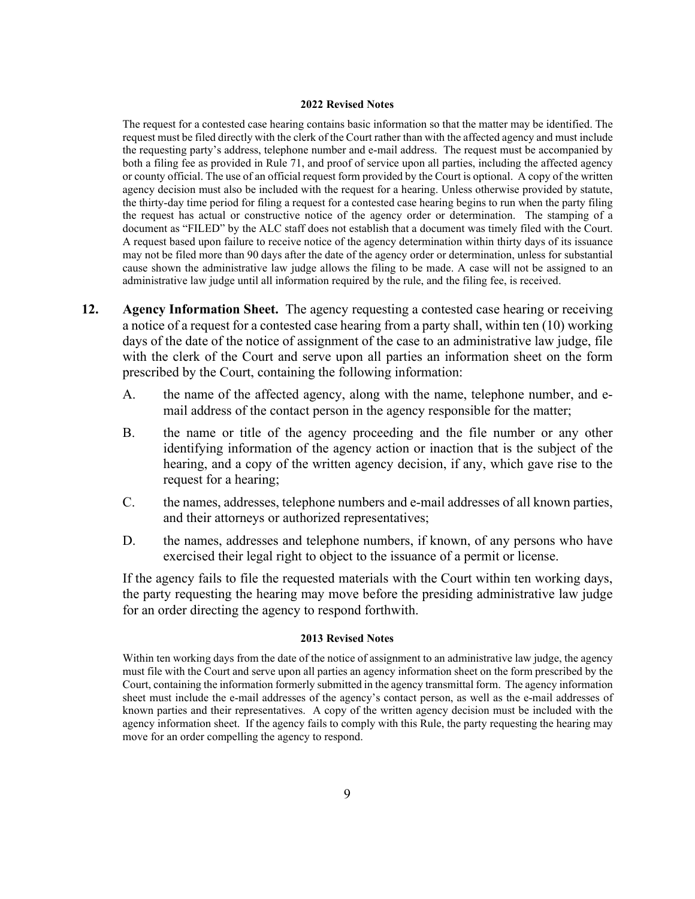The request for a contested case hearing contains basic information so that the matter may be identified. The request must be filed directly with the clerk of the Court rather than with the affected agency and must include the requesting party's address, telephone number and e-mail address. The request must be accompanied by both a filing fee as provided in Rule 71, and proof of service upon all parties, including the affected agency or county official. The use of an official request form provided by the Court is optional. A copy of the written agency decision must also be included with the request for a hearing. Unless otherwise provided by statute, the thirty-day time period for filing a request for a contested case hearing begins to run when the party filing the request has actual or constructive notice of the agency order or determination. The stamping of a document as "FILED" by the ALC staff does not establish that a document was timely filed with the Court. A request based upon failure to receive notice of the agency determination within thirty days of its issuance may not be filed more than 90 days after the date of the agency order or determination, unless for substantial cause shown the administrative law judge allows the filing to be made. A case will not be assigned to an administrative law judge until all information required by the rule, and the filing fee, is received.

- **12. Agency Information Sheet.** The agency requesting a contested case hearing or receiving a notice of a request for a contested case hearing from a party shall, within ten (10) working days of the date of the notice of assignment of the case to an administrative law judge, file with the clerk of the Court and serve upon all parties an information sheet on the form prescribed by the Court, containing the following information:
	- A. the name of the affected agency, along with the name, telephone number, and email address of the contact person in the agency responsible for the matter;
	- B. the name or title of the agency proceeding and the file number or any other identifying information of the agency action or inaction that is the subject of the hearing, and a copy of the written agency decision, if any, which gave rise to the request for a hearing;
	- C. the names, addresses, telephone numbers and e-mail addresses of all known parties, and their attorneys or authorized representatives;
	- D. the names, addresses and telephone numbers, if known, of any persons who have exercised their legal right to object to the issuance of a permit or license.

If the agency fails to file the requested materials with the Court within ten working days, the party requesting the hearing may move before the presiding administrative law judge for an order directing the agency to respond forthwith.

#### **2013 Revised Notes**

Within ten working days from the date of the notice of assignment to an administrative law judge, the agency must file with the Court and serve upon all parties an agency information sheet on the form prescribed by the Court, containing the information formerly submitted in the agency transmittal form. The agency information sheet must include the e-mail addresses of the agency's contact person, as well as the e-mail addresses of known parties and their representatives. A copy of the written agency decision must be included with the agency information sheet. If the agency fails to comply with this Rule, the party requesting the hearing may move for an order compelling the agency to respond.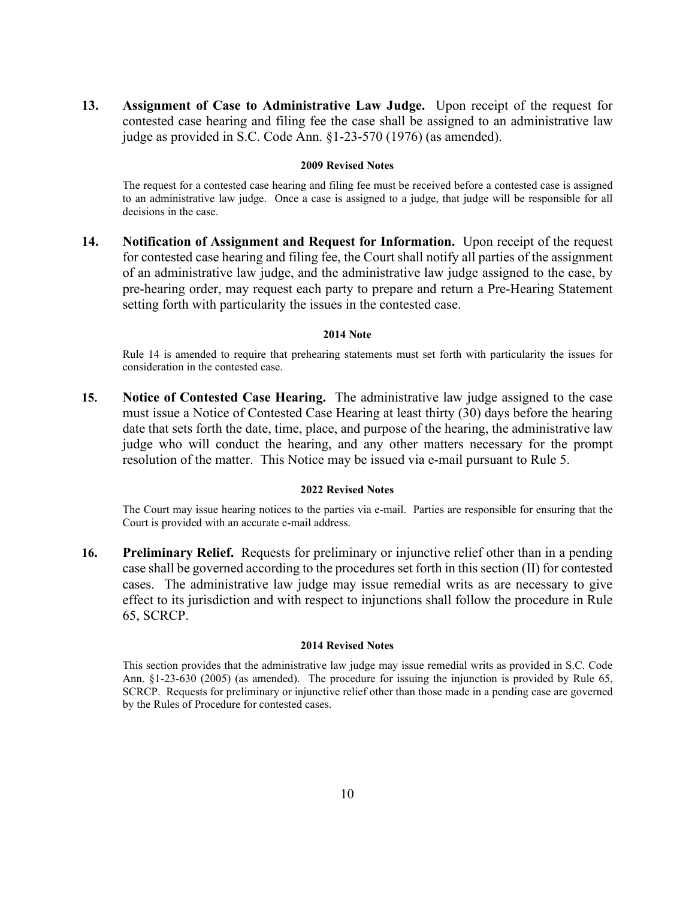**13. Assignment of Case to Administrative Law Judge.** Upon receipt of the request for contested case hearing and filing fee the case shall be assigned to an administrative law judge as provided in S.C. Code Ann. §1-23-570 (1976) (as amended).

#### **2009 Revised Notes**

The request for a contested case hearing and filing fee must be received before a contested case is assigned to an administrative law judge. Once a case is assigned to a judge, that judge will be responsible for all decisions in the case.

**14. Notification of Assignment and Request for Information.** Upon receipt of the request for contested case hearing and filing fee, the Court shall notify all parties of the assignment of an administrative law judge, and the administrative law judge assigned to the case, by pre-hearing order, may request each party to prepare and return a Pre-Hearing Statement setting forth with particularity the issues in the contested case.

#### **2014 Note**

Rule 14 is amended to require that prehearing statements must set forth with particularity the issues for consideration in the contested case.

**15. Notice of Contested Case Hearing.** The administrative law judge assigned to the case must issue a Notice of Contested Case Hearing at least thirty (30) days before the hearing date that sets forth the date, time, place, and purpose of the hearing, the administrative law judge who will conduct the hearing, and any other matters necessary for the prompt resolution of the matter. This Notice may be issued via e-mail pursuant to Rule 5.

#### **2022 Revised Notes**

The Court may issue hearing notices to the parties via e-mail. Parties are responsible for ensuring that the Court is provided with an accurate e-mail address.

**16. Preliminary Relief.** Requests for preliminary or injunctive relief other than in a pending case shall be governed according to the procedures set forth in this section (II) for contested cases. The administrative law judge may issue remedial writs as are necessary to give effect to its jurisdiction and with respect to injunctions shall follow the procedure in Rule 65, SCRCP.

#### **2014 Revised Notes**

This section provides that the administrative law judge may issue remedial writs as provided in S.C. Code Ann. §1-23-630 (2005) (as amended). The procedure for issuing the injunction is provided by Rule 65, SCRCP. Requests for preliminary or injunctive relief other than those made in a pending case are governed by the Rules of Procedure for contested cases.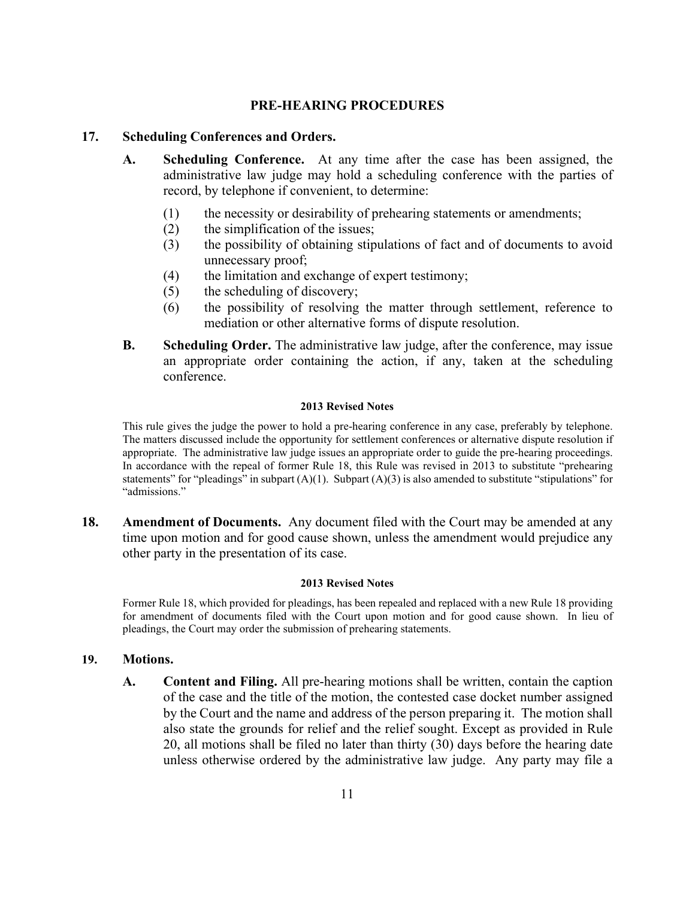# **PRE-HEARING PROCEDURES**

# **17. Scheduling Conferences and Orders.**

- **A. Scheduling Conference.** At any time after the case has been assigned, the administrative law judge may hold a scheduling conference with the parties of record, by telephone if convenient, to determine:
	- (1) the necessity or desirability of prehearing statements or amendments;
	- (2) the simplification of the issues;
	- (3) the possibility of obtaining stipulations of fact and of documents to avoid unnecessary proof;
	- (4) the limitation and exchange of expert testimony;
	- (5) the scheduling of discovery;
	- (6) the possibility of resolving the matter through settlement, reference to mediation or other alternative forms of dispute resolution.
- **B. Scheduling Order.** The administrative law judge, after the conference, may issue an appropriate order containing the action, if any, taken at the scheduling conference.

#### **2013 Revised Notes**

This rule gives the judge the power to hold a pre-hearing conference in any case, preferably by telephone. The matters discussed include the opportunity for settlement conferences or alternative dispute resolution if appropriate. The administrative law judge issues an appropriate order to guide the pre-hearing proceedings. In accordance with the repeal of former Rule 18, this Rule was revised in 2013 to substitute "prehearing statements" for "pleadings" in subpart  $(A)(1)$ . Subpart  $(A)(3)$  is also amended to substitute "stipulations" for "admissions."

**18. Amendment of Documents.** Any document filed with the Court may be amended at any time upon motion and for good cause shown, unless the amendment would prejudice any other party in the presentation of its case.

#### **2013 Revised Notes**

Former Rule 18, which provided for pleadings, has been repealed and replaced with a new Rule 18 providing for amendment of documents filed with the Court upon motion and for good cause shown. In lieu of pleadings, the Court may order the submission of prehearing statements.

## **19. Motions.**

**A. Content and Filing.** All pre-hearing motions shall be written, contain the caption of the case and the title of the motion, the contested case docket number assigned by the Court and the name and address of the person preparing it. The motion shall also state the grounds for relief and the relief sought. Except as provided in Rule 20, all motions shall be filed no later than thirty (30) days before the hearing date unless otherwise ordered by the administrative law judge. Any party may file a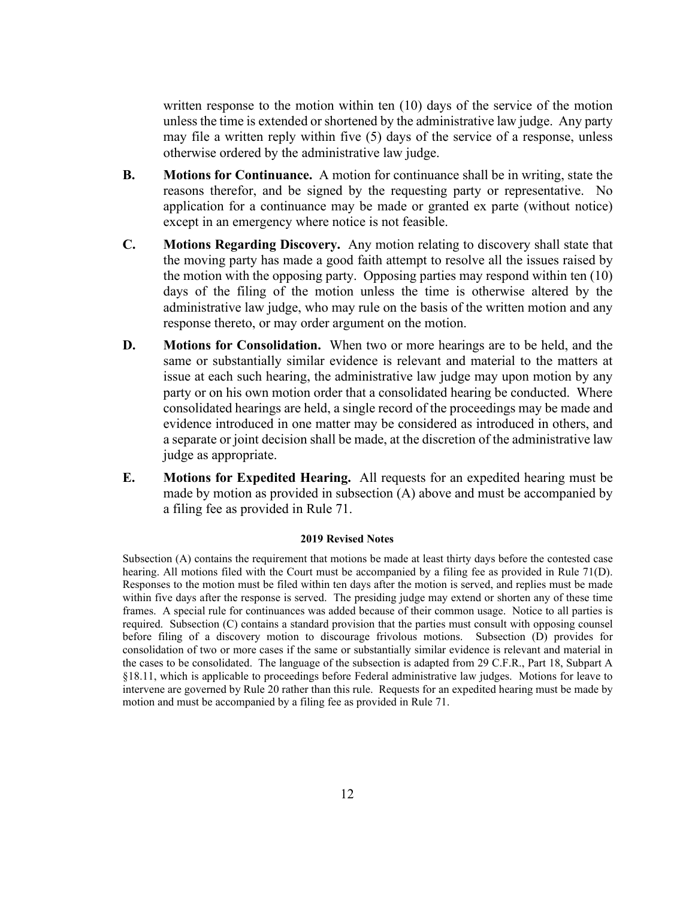written response to the motion within ten (10) days of the service of the motion unless the time is extended or shortened by the administrative law judge. Any party may file a written reply within five (5) days of the service of a response, unless otherwise ordered by the administrative law judge.

- **B. Motions for Continuance.** A motion for continuance shall be in writing, state the reasons therefor, and be signed by the requesting party or representative. No application for a continuance may be made or granted ex parte (without notice) except in an emergency where notice is not feasible.
- **C. Motions Regarding Discovery.** Any motion relating to discovery shall state that the moving party has made a good faith attempt to resolve all the issues raised by the motion with the opposing party. Opposing parties may respond within ten (10) days of the filing of the motion unless the time is otherwise altered by the administrative law judge, who may rule on the basis of the written motion and any response thereto, or may order argument on the motion.
- **D. Motions for Consolidation.** When two or more hearings are to be held, and the same or substantially similar evidence is relevant and material to the matters at issue at each such hearing, the administrative law judge may upon motion by any party or on his own motion order that a consolidated hearing be conducted. Where consolidated hearings are held, a single record of the proceedings may be made and evidence introduced in one matter may be considered as introduced in others, and a separate or joint decision shall be made, at the discretion of the administrative law judge as appropriate.
- **E. Motions for Expedited Hearing.** All requests for an expedited hearing must be made by motion as provided in subsection (A) above and must be accompanied by a filing fee as provided in Rule 71.

#### **2019 Revised Notes**

Subsection (A) contains the requirement that motions be made at least thirty days before the contested case hearing. All motions filed with the Court must be accompanied by a filing fee as provided in Rule 71(D). Responses to the motion must be filed within ten days after the motion is served, and replies must be made within five days after the response is served. The presiding judge may extend or shorten any of these time frames. A special rule for continuances was added because of their common usage. Notice to all parties is required. Subsection (C) contains a standard provision that the parties must consult with opposing counsel before filing of a discovery motion to discourage frivolous motions. Subsection (D) provides for consolidation of two or more cases if the same or substantially similar evidence is relevant and material in the cases to be consolidated. The language of the subsection is adapted from 29 C.F.R., Part 18, Subpart A §18.11, which is applicable to proceedings before Federal administrative law judges. Motions for leave to intervene are governed by Rule 20 rather than this rule. Requests for an expedited hearing must be made by motion and must be accompanied by a filing fee as provided in Rule 71.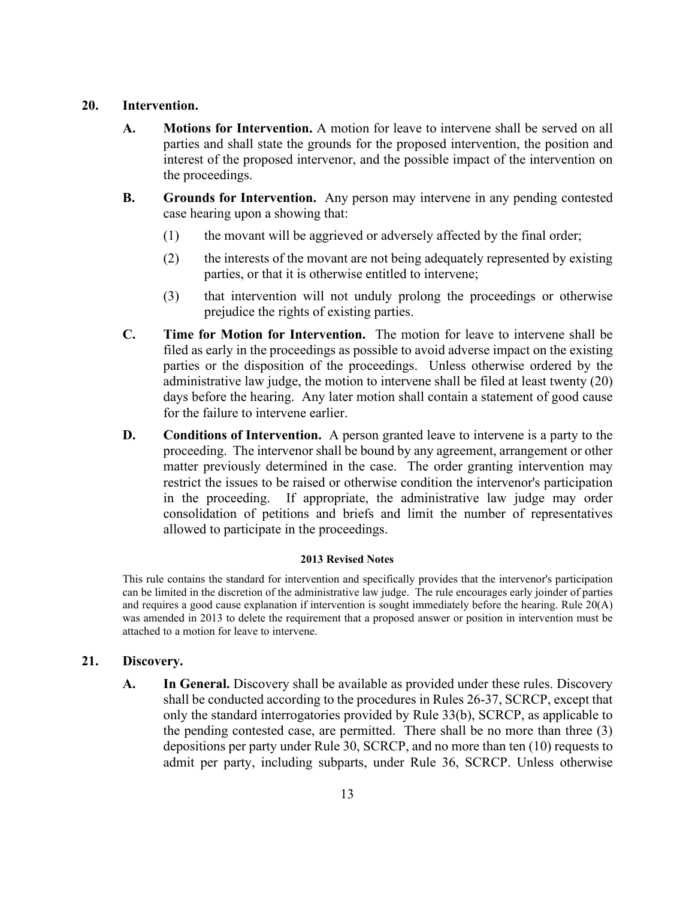# **20. Intervention.**

- **A. Motions for Intervention.** A motion for leave to intervene shall be served on all parties and shall state the grounds for the proposed intervention, the position and interest of the proposed intervenor, and the possible impact of the intervention on the proceedings.
- **B. Grounds for Intervention.** Any person may intervene in any pending contested case hearing upon a showing that:
	- (1) the movant will be aggrieved or adversely affected by the final order;
	- (2) the interests of the movant are not being adequately represented by existing parties, or that it is otherwise entitled to intervene;
	- (3) that intervention will not unduly prolong the proceedings or otherwise prejudice the rights of existing parties.
- **C. Time for Motion for Intervention.** The motion for leave to intervene shall be filed as early in the proceedings as possible to avoid adverse impact on the existing parties or the disposition of the proceedings. Unless otherwise ordered by the administrative law judge, the motion to intervene shall be filed at least twenty (20) days before the hearing. Any later motion shall contain a statement of good cause for the failure to intervene earlier.
- **D. Conditions of Intervention.** A person granted leave to intervene is a party to the proceeding. The intervenor shall be bound by any agreement, arrangement or other matter previously determined in the case. The order granting intervention may restrict the issues to be raised or otherwise condition the intervenor's participation in the proceeding. If appropriate, the administrative law judge may order consolidation of petitions and briefs and limit the number of representatives allowed to participate in the proceedings.

### **2013 Revised Notes**

This rule contains the standard for intervention and specifically provides that the intervenor's participation can be limited in the discretion of the administrative law judge. The rule encourages early joinder of parties and requires a good cause explanation if intervention is sought immediately before the hearing. Rule 20(A) was amended in 2013 to delete the requirement that a proposed answer or position in intervention must be attached to a motion for leave to intervene.

# **21. Discovery.**

**A. In General.** Discovery shall be available as provided under these rules. Discovery shall be conducted according to the procedures in Rules 26-37, SCRCP, except that only the standard interrogatories provided by Rule 33(b), SCRCP, as applicable to the pending contested case, are permitted. There shall be no more than three (3) depositions per party under Rule 30, SCRCP, and no more than ten (10) requests to admit per party, including subparts, under Rule 36, SCRCP. Unless otherwise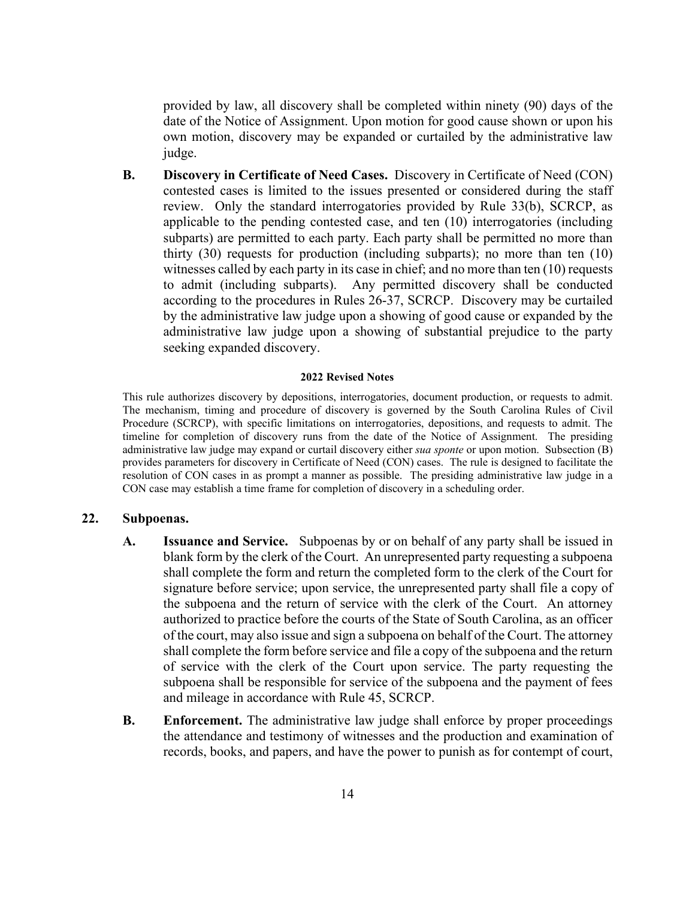provided by law, all discovery shall be completed within ninety (90) days of the date of the Notice of Assignment. Upon motion for good cause shown or upon his own motion, discovery may be expanded or curtailed by the administrative law judge.

**B. Discovery in Certificate of Need Cases.** Discovery in Certificate of Need (CON) contested cases is limited to the issues presented or considered during the staff review. Only the standard interrogatories provided by Rule 33(b), SCRCP, as applicable to the pending contested case, and ten (10) interrogatories (including subparts) are permitted to each party. Each party shall be permitted no more than thirty (30) requests for production (including subparts); no more than ten (10) witnesses called by each party in its case in chief; and no more than ten (10) requests to admit (including subparts). Any permitted discovery shall be conducted according to the procedures in Rules 26-37, SCRCP. Discovery may be curtailed by the administrative law judge upon a showing of good cause or expanded by the administrative law judge upon a showing of substantial prejudice to the party seeking expanded discovery.

#### **2022 Revised Notes**

This rule authorizes discovery by depositions, interrogatories, document production, or requests to admit. The mechanism, timing and procedure of discovery is governed by the South Carolina Rules of Civil Procedure (SCRCP), with specific limitations on interrogatories, depositions, and requests to admit. The timeline for completion of discovery runs from the date of the Notice of Assignment. The presiding administrative law judge may expand or curtail discovery either *sua sponte* or upon motion. Subsection (B) provides parameters for discovery in Certificate of Need (CON) cases. The rule is designed to facilitate the resolution of CON cases in as prompt a manner as possible. The presiding administrative law judge in a CON case may establish a time frame for completion of discovery in a scheduling order.

### **22. Subpoenas.**

- **A. Issuance and Service.** Subpoenas by or on behalf of any party shall be issued in blank form by the clerk of the Court. An unrepresented party requesting a subpoena shall complete the form and return the completed form to the clerk of the Court for signature before service; upon service, the unrepresented party shall file a copy of the subpoena and the return of service with the clerk of the Court. An attorney authorized to practice before the courts of the State of South Carolina, as an officer of the court, may also issue and sign a subpoena on behalf of the Court. The attorney shall complete the form before service and file a copy of the subpoena and the return of service with the clerk of the Court upon service. The party requesting the subpoena shall be responsible for service of the subpoena and the payment of fees and mileage in accordance with Rule 45, SCRCP.
- **B. Enforcement.** The administrative law judge shall enforce by proper proceedings the attendance and testimony of witnesses and the production and examination of records, books, and papers, and have the power to punish as for contempt of court,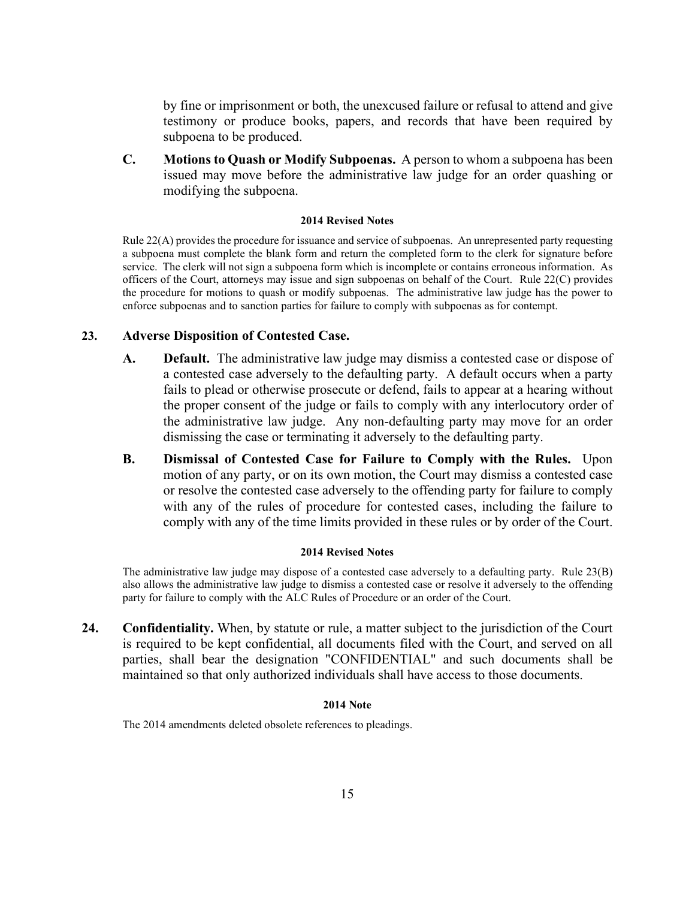by fine or imprisonment or both, the unexcused failure or refusal to attend and give testimony or produce books, papers, and records that have been required by subpoena to be produced.

**C. Motions to Quash or Modify Subpoenas.** A person to whom a subpoena has been issued may move before the administrative law judge for an order quashing or modifying the subpoena.

#### **2014 Revised Notes**

Rule 22(A) provides the procedure for issuance and service of subpoenas. An unrepresented party requesting a subpoena must complete the blank form and return the completed form to the clerk for signature before service. The clerk will not sign a subpoena form which is incomplete or contains erroneous information. As officers of the Court, attorneys may issue and sign subpoenas on behalf of the Court. Rule 22(C) provides the procedure for motions to quash or modify subpoenas. The administrative law judge has the power to enforce subpoenas and to sanction parties for failure to comply with subpoenas as for contempt.

# **23. Adverse Disposition of Contested Case.**

- **A. Default.** The administrative law judge may dismiss a contested case or dispose of a contested case adversely to the defaulting party. A default occurs when a party fails to plead or otherwise prosecute or defend, fails to appear at a hearing without the proper consent of the judge or fails to comply with any interlocutory order of the administrative law judge. Any non-defaulting party may move for an order dismissing the case or terminating it adversely to the defaulting party.
- **B. Dismissal of Contested Case for Failure to Comply with the Rules.** Upon motion of any party, or on its own motion, the Court may dismiss a contested case or resolve the contested case adversely to the offending party for failure to comply with any of the rules of procedure for contested cases, including the failure to comply with any of the time limits provided in these rules or by order of the Court.

#### **2014 Revised Notes**

The administrative law judge may dispose of a contested case adversely to a defaulting party. Rule 23(B) also allows the administrative law judge to dismiss a contested case or resolve it adversely to the offending party for failure to comply with the ALC Rules of Procedure or an order of the Court.

**24. Confidentiality.** When, by statute or rule, a matter subject to the jurisdiction of the Court is required to be kept confidential, all documents filed with the Court, and served on all parties, shall bear the designation "CONFIDENTIAL" and such documents shall be maintained so that only authorized individuals shall have access to those documents.

#### **2014 Note**

The 2014 amendments deleted obsolete references to pleadings.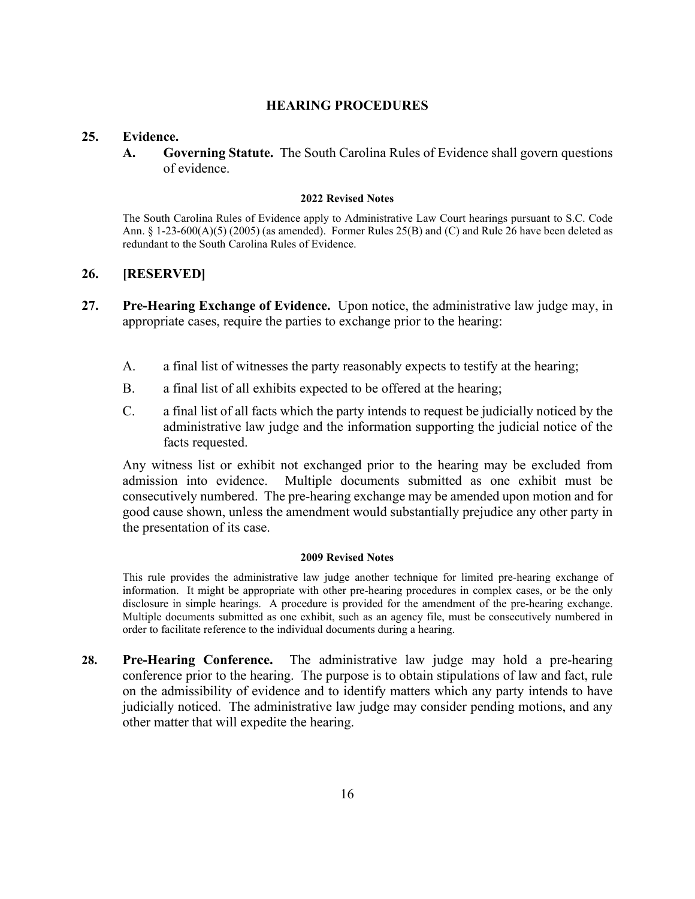# **HEARING PROCEDURES**

# **25. Evidence.**

**A. Governing Statute.** The South Carolina Rules of Evidence shall govern questions of evidence.

#### **2022 Revised Notes**

The South Carolina Rules of Evidence apply to Administrative Law Court hearings pursuant to S.C. Code Ann. § 1-23-600(A)(5) (2005) (as amended). Former Rules 25(B) and (C) and Rule 26 have been deleted as redundant to the South Carolina Rules of Evidence.

# **26. [RESERVED]**

- **27. Pre-Hearing Exchange of Evidence.** Upon notice, the administrative law judge may, in appropriate cases, require the parties to exchange prior to the hearing:
	- A. a final list of witnesses the party reasonably expects to testify at the hearing;
	- B. a final list of all exhibits expected to be offered at the hearing;
	- C. a final list of all facts which the party intends to request be judicially noticed by the administrative law judge and the information supporting the judicial notice of the facts requested.

Any witness list or exhibit not exchanged prior to the hearing may be excluded from admission into evidence. Multiple documents submitted as one exhibit must be consecutively numbered. The pre-hearing exchange may be amended upon motion and for good cause shown, unless the amendment would substantially prejudice any other party in the presentation of its case.

#### **2009 Revised Notes**

This rule provides the administrative law judge another technique for limited pre-hearing exchange of information. It might be appropriate with other pre-hearing procedures in complex cases, or be the only disclosure in simple hearings. A procedure is provided for the amendment of the pre-hearing exchange. Multiple documents submitted as one exhibit, such as an agency file, must be consecutively numbered in order to facilitate reference to the individual documents during a hearing.

**28. Pre-Hearing Conference.** The administrative law judge may hold a pre-hearing conference prior to the hearing. The purpose is to obtain stipulations of law and fact, rule on the admissibility of evidence and to identify matters which any party intends to have judicially noticed. The administrative law judge may consider pending motions, and any other matter that will expedite the hearing.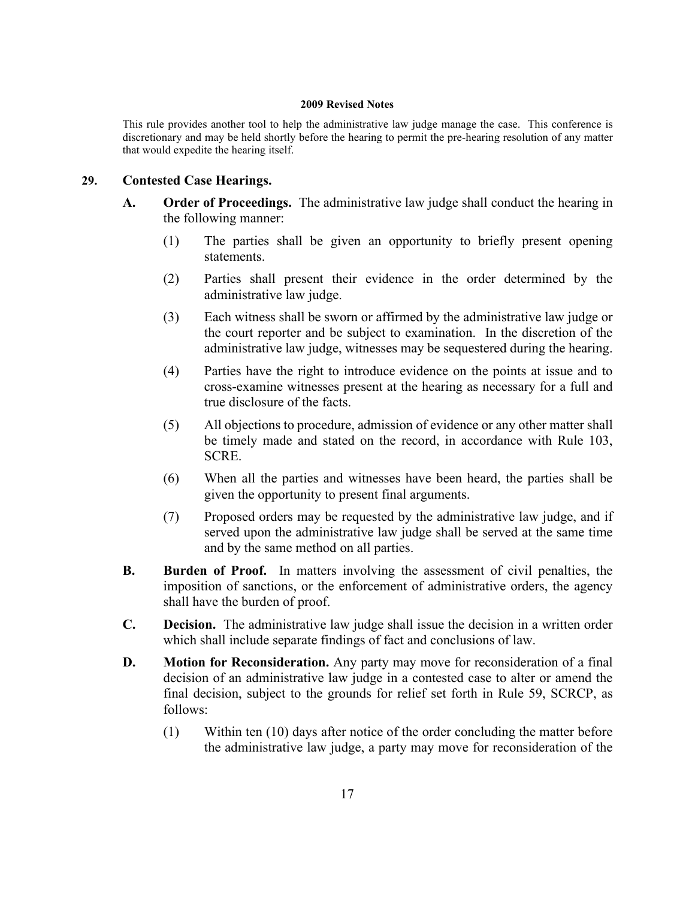This rule provides another tool to help the administrative law judge manage the case. This conference is discretionary and may be held shortly before the hearing to permit the pre-hearing resolution of any matter that would expedite the hearing itself.

# **29. Contested Case Hearings.**

- **A. Order of Proceedings.** The administrative law judge shall conduct the hearing in the following manner:
	- (1) The parties shall be given an opportunity to briefly present opening statements.
	- (2) Parties shall present their evidence in the order determined by the administrative law judge.
	- (3) Each witness shall be sworn or affirmed by the administrative law judge or the court reporter and be subject to examination. In the discretion of the administrative law judge, witnesses may be sequestered during the hearing.
	- (4) Parties have the right to introduce evidence on the points at issue and to cross-examine witnesses present at the hearing as necessary for a full and true disclosure of the facts.
	- (5) All objections to procedure, admission of evidence or any other matter shall be timely made and stated on the record, in accordance with Rule 103, SCRE.
	- (6) When all the parties and witnesses have been heard, the parties shall be given the opportunity to present final arguments.
	- (7) Proposed orders may be requested by the administrative law judge, and if served upon the administrative law judge shall be served at the same time and by the same method on all parties.
- **B. Burden of Proof.** In matters involving the assessment of civil penalties, the imposition of sanctions, or the enforcement of administrative orders, the agency shall have the burden of proof.
- **C. Decision.** The administrative law judge shall issue the decision in a written order which shall include separate findings of fact and conclusions of law.
- **D. Motion for Reconsideration.** Any party may move for reconsideration of a final decision of an administrative law judge in a contested case to alter or amend the final decision, subject to the grounds for relief set forth in Rule 59, SCRCP, as follows:
	- (1) Within ten (10) days after notice of the order concluding the matter before the administrative law judge, a party may move for reconsideration of the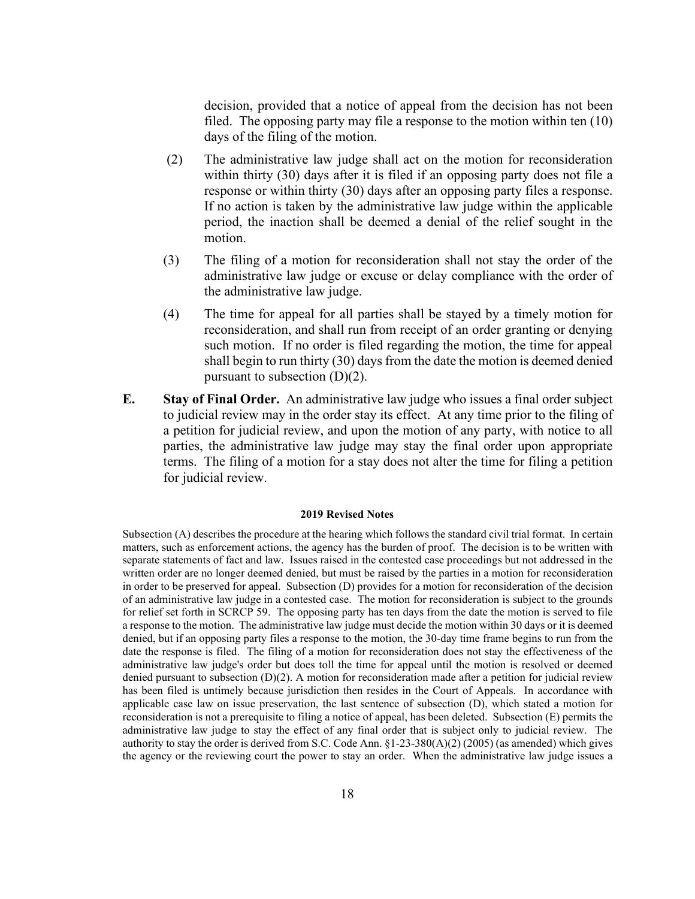decision, provided that a notice of appeal from the decision has not been filed. The opposing party may file a response to the motion within ten (10) days of the filing of the motion.

- (2) The administrative law judge shall act on the motion for reconsideration within thirty (30) days after it is filed if an opposing party does not file a response or within thirty (30) days after an opposing party files a response. If no action is taken by the administrative law judge within the applicable period, the inaction shall be deemed a denial of the relief sought in the motion.
- (3) The filing of a motion for reconsideration shall not stay the order of the administrative law judge or excuse or delay compliance with the order of the administrative law judge.
- (4) The time for appeal for all parties shall be stayed by a timely motion for reconsideration, and shall run from receipt of an order granting or denying such motion. If no order is filed regarding the motion, the time for appeal shall begin to run thirty (30) days from the date the motion is deemed denied pursuant to subsection (D)(2).
- **E. Stay of Final Order.** An administrative law judge who issues a final order subject to judicial review may in the order stay its effect. At any time prior to the filing of a petition for judicial review, and upon the motion of any party, with notice to all parties, the administrative law judge may stay the final order upon appropriate terms. The filing of a motion for a stay does not alter the time for filing a petition for judicial review.

#### **2019 Revised Notes**

Subsection (A) describes the procedure at the hearing which follows the standard civil trial format. In certain matters, such as enforcement actions, the agency has the burden of proof. The decision is to be written with separate statements of fact and law. Issues raised in the contested case proceedings but not addressed in the written order are no longer deemed denied, but must be raised by the parties in a motion for reconsideration in order to be preserved for appeal. Subsection (D) provides for a motion for reconsideration of the decision of an administrative law judge in a contested case. The motion for reconsideration is subject to the grounds for relief set forth in SCRCP 59. The opposing party has ten days from the date the motion is served to file a response to the motion. The administrative law judge must decide the motion within 30 days or it is deemed denied, but if an opposing party files a response to the motion, the 30-day time frame begins to run from the date the response is filed. The filing of a motion for reconsideration does not stay the effectiveness of the administrative law judge's order but does toll the time for appeal until the motion is resolved or deemed denied pursuant to subsection (D)(2). A motion for reconsideration made after a petition for judicial review has been filed is untimely because jurisdiction then resides in the Court of Appeals. In accordance with applicable case law on issue preservation, the last sentence of subsection (D), which stated a motion for reconsideration is not a prerequisite to filing a notice of appeal, has been deleted. Subsection (E) permits the administrative law judge to stay the effect of any final order that is subject only to judicial review. The authority to stay the order is derived from S.C. Code Ann. §1-23-380(A)(2) (2005) (as amended) which gives the agency or the reviewing court the power to stay an order. When the administrative law judge issues a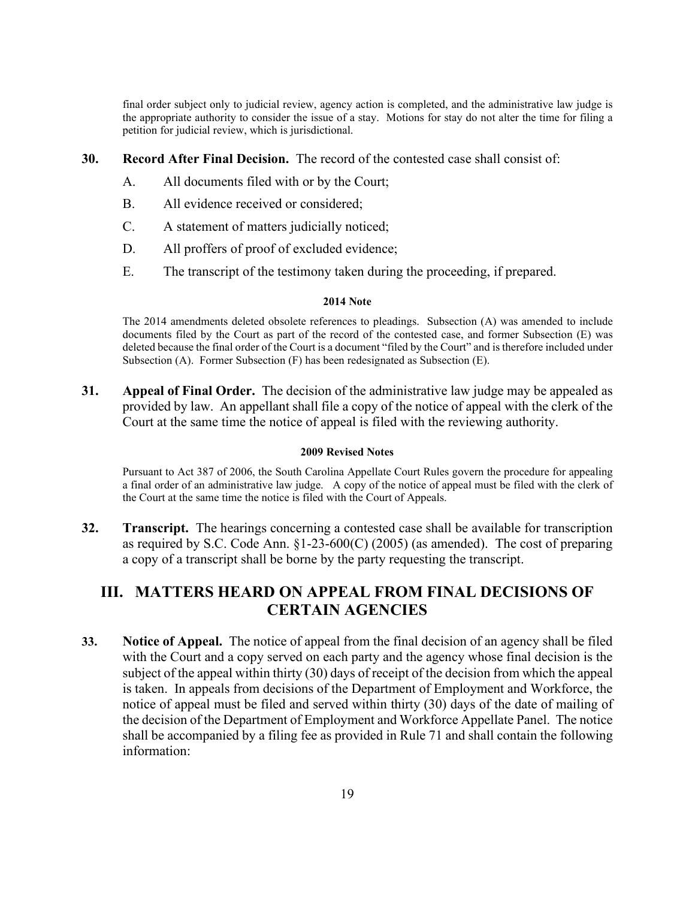final order subject only to judicial review, agency action is completed, and the administrative law judge is the appropriate authority to consider the issue of a stay. Motions for stay do not alter the time for filing a petition for judicial review, which is jurisdictional.

**30. Record After Final Decision.** The record of the contested case shall consist of:

- A. All documents filed with or by the Court;
- B. All evidence received or considered;
- C. A statement of matters judicially noticed;
- D. All proffers of proof of excluded evidence;
- E. The transcript of the testimony taken during the proceeding, if prepared.

#### **2014 Note**

The 2014 amendments deleted obsolete references to pleadings. Subsection (A) was amended to include documents filed by the Court as part of the record of the contested case, and former Subsection (E) was deleted because the final order of the Court is a document "filed by the Court" and is therefore included under Subsection (A). Former Subsection (F) has been redesignated as Subsection (E).

**31. Appeal of Final Order.** The decision of the administrative law judge may be appealed as provided by law. An appellant shall file a copy of the notice of appeal with the clerk of the Court at the same time the notice of appeal is filed with the reviewing authority.

#### **2009 Revised Notes**

Pursuant to Act 387 of 2006, the South Carolina Appellate Court Rules govern the procedure for appealing a final order of an administrative law judge. A copy of the notice of appeal must be filed with the clerk of the Court at the same time the notice is filed with the Court of Appeals.

**32. Transcript.** The hearings concerning a contested case shall be available for transcription as required by S.C. Code Ann. §1-23-600(C) (2005) (as amended). The cost of preparing a copy of a transcript shall be borne by the party requesting the transcript.

# **III. MATTERS HEARD ON APPEAL FROM FINAL DECISIONS OF CERTAIN AGENCIES**

**33. Notice of Appeal.** The notice of appeal from the final decision of an agency shall be filed with the Court and a copy served on each party and the agency whose final decision is the subject of the appeal within thirty (30) days of receipt of the decision from which the appeal is taken. In appeals from decisions of the Department of Employment and Workforce, the notice of appeal must be filed and served within thirty (30) days of the date of mailing of the decision of the Department of Employment and Workforce Appellate Panel. The notice shall be accompanied by a filing fee as provided in Rule 71 and shall contain the following information: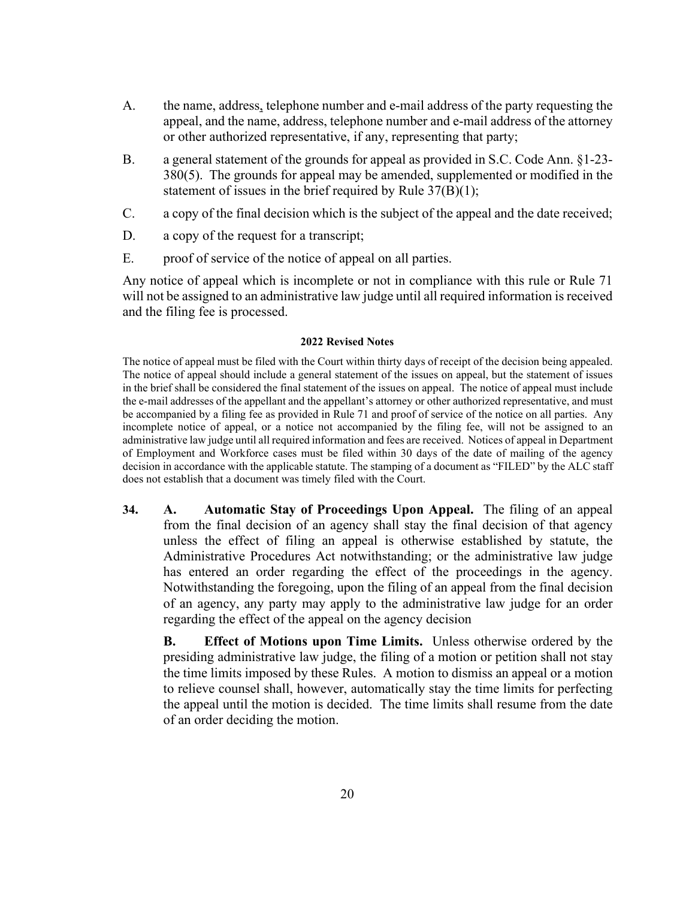- A. the name, address, telephone number and e-mail address of the party requesting the appeal, and the name, address, telephone number and e-mail address of the attorney or other authorized representative, if any, representing that party;
- B. a general statement of the grounds for appeal as provided in S.C. Code Ann. §1-23- 380(5). The grounds for appeal may be amended, supplemented or modified in the statement of issues in the brief required by Rule  $37(B)(1)$ ;
- C. a copy of the final decision which is the subject of the appeal and the date received;
- D. a copy of the request for a transcript;
- E. proof of service of the notice of appeal on all parties.

Any notice of appeal which is incomplete or not in compliance with this rule or Rule 71 will not be assigned to an administrative law judge until all required information is received and the filing fee is processed.

#### **2022 Revised Notes**

The notice of appeal must be filed with the Court within thirty days of receipt of the decision being appealed. The notice of appeal should include a general statement of the issues on appeal, but the statement of issues in the brief shall be considered the final statement of the issues on appeal. The notice of appeal must include the e-mail addresses of the appellant and the appellant's attorney or other authorized representative, and must be accompanied by a filing fee as provided in Rule 71 and proof of service of the notice on all parties. Any incomplete notice of appeal, or a notice not accompanied by the filing fee, will not be assigned to an administrative law judge until all required information and fees are received. Notices of appeal in Department of Employment and Workforce cases must be filed within 30 days of the date of mailing of the agency decision in accordance with the applicable statute. The stamping of a document as "FILED" by the ALC staff does not establish that a document was timely filed with the Court.

**34. A. Automatic Stay of Proceedings Upon Appeal.** The filing of an appeal from the final decision of an agency shall stay the final decision of that agency unless the effect of filing an appeal is otherwise established by statute, the Administrative Procedures Act notwithstanding; or the administrative law judge has entered an order regarding the effect of the proceedings in the agency. Notwithstanding the foregoing, upon the filing of an appeal from the final decision of an agency, any party may apply to the administrative law judge for an order regarding the effect of the appeal on the agency decision

**B. Effect of Motions upon Time Limits.** Unless otherwise ordered by the presiding administrative law judge, the filing of a motion or petition shall not stay the time limits imposed by these Rules. A motion to dismiss an appeal or a motion to relieve counsel shall, however, automatically stay the time limits for perfecting the appeal until the motion is decided. The time limits shall resume from the date of an order deciding the motion.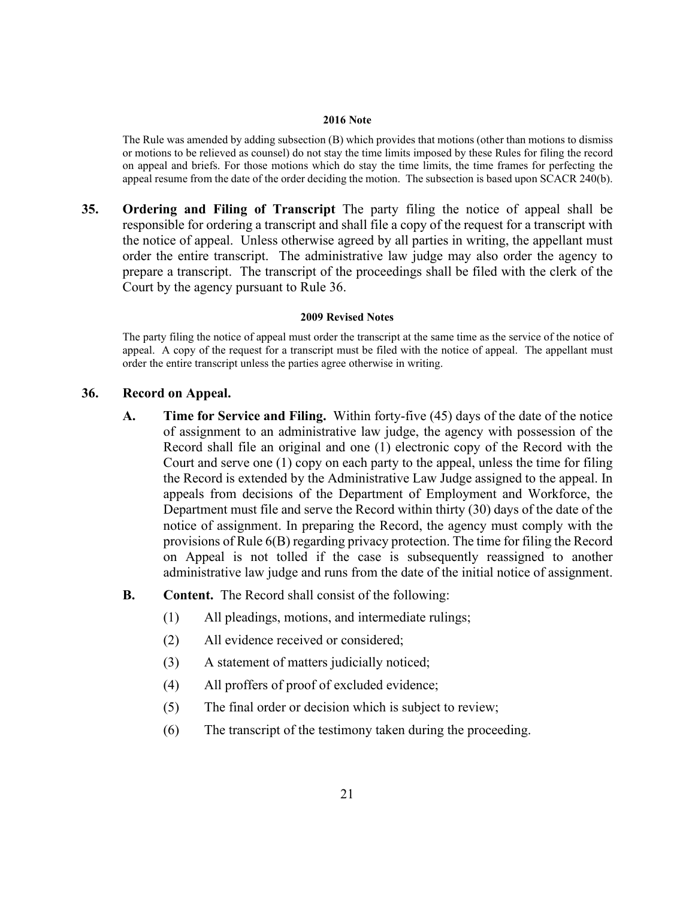#### **2016 Note**

The Rule was amended by adding subsection (B) which provides that motions (other than motions to dismiss or motions to be relieved as counsel) do not stay the time limits imposed by these Rules for filing the record on appeal and briefs. For those motions which do stay the time limits, the time frames for perfecting the appeal resume from the date of the order deciding the motion. The subsection is based upon SCACR 240(b).

**35. Ordering and Filing of Transcript** The party filing the notice of appeal shall be responsible for ordering a transcript and shall file a copy of the request for a transcript with the notice of appeal. Unless otherwise agreed by all parties in writing, the appellant must order the entire transcript. The administrative law judge may also order the agency to prepare a transcript. The transcript of the proceedings shall be filed with the clerk of the Court by the agency pursuant to Rule 36.

#### **2009 Revised Notes**

The party filing the notice of appeal must order the transcript at the same time as the service of the notice of appeal. A copy of the request for a transcript must be filed with the notice of appeal. The appellant must order the entire transcript unless the parties agree otherwise in writing.

# **36. Record on Appeal.**

- **A. Time for Service and Filing.** Within forty-five (45) days of the date of the notice of assignment to an administrative law judge, the agency with possession of the Record shall file an original and one (1) electronic copy of the Record with the Court and serve one (1) copy on each party to the appeal, unless the time for filing the Record is extended by the Administrative Law Judge assigned to the appeal. In appeals from decisions of the Department of Employment and Workforce, the Department must file and serve the Record within thirty (30) days of the date of the notice of assignment. In preparing the Record, the agency must comply with the provisions of Rule 6(B) regarding privacy protection. The time for filing the Record on Appeal is not tolled if the case is subsequently reassigned to another administrative law judge and runs from the date of the initial notice of assignment.
- **B. Content.** The Record shall consist of the following:
	- (1) All pleadings, motions, and intermediate rulings;
	- (2) All evidence received or considered;
	- (3) A statement of matters judicially noticed;
	- (4) All proffers of proof of excluded evidence;
	- (5) The final order or decision which is subject to review;
	- (6) The transcript of the testimony taken during the proceeding.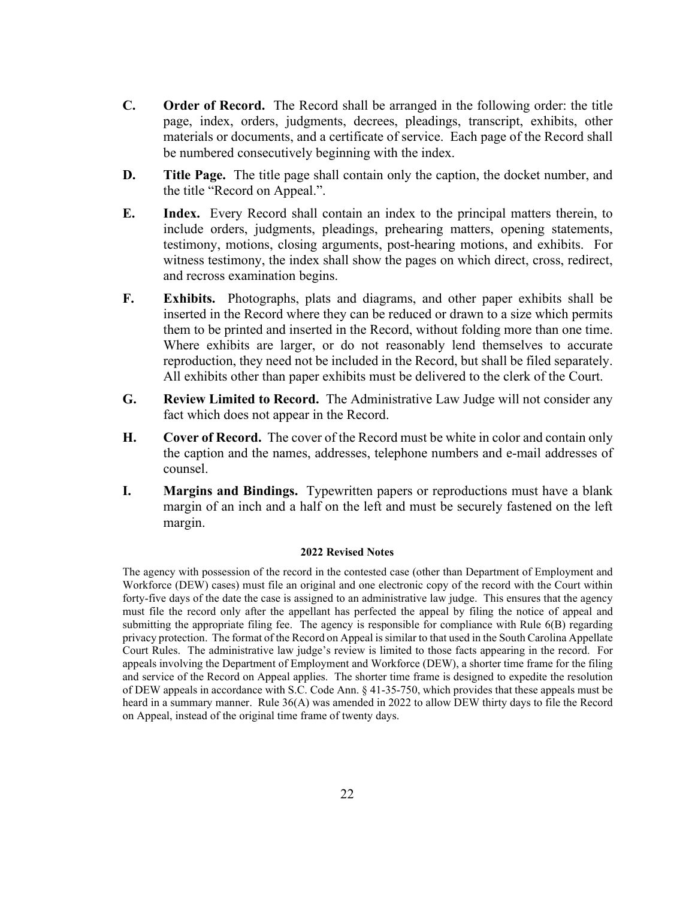- **C. Order of Record.** The Record shall be arranged in the following order: the title page, index, orders, judgments, decrees, pleadings, transcript, exhibits, other materials or documents, and a certificate of service. Each page of the Record shall be numbered consecutively beginning with the index.
- **D. Title Page.** The title page shall contain only the caption, the docket number, and the title "Record on Appeal.".
- **E. Index.** Every Record shall contain an index to the principal matters therein, to include orders, judgments, pleadings, prehearing matters, opening statements, testimony, motions, closing arguments, post-hearing motions, and exhibits. For witness testimony, the index shall show the pages on which direct, cross, redirect, and recross examination begins.
- **F. Exhibits.** Photographs, plats and diagrams, and other paper exhibits shall be inserted in the Record where they can be reduced or drawn to a size which permits them to be printed and inserted in the Record, without folding more than one time. Where exhibits are larger, or do not reasonably lend themselves to accurate reproduction, they need not be included in the Record, but shall be filed separately. All exhibits other than paper exhibits must be delivered to the clerk of the Court.
- **G. Review Limited to Record.** The Administrative Law Judge will not consider any fact which does not appear in the Record.
- **H. Cover of Record.** The cover of the Record must be white in color and contain only the caption and the names, addresses, telephone numbers and e-mail addresses of counsel.
- **I. Margins and Bindings.** Typewritten papers or reproductions must have a blank margin of an inch and a half on the left and must be securely fastened on the left margin.

The agency with possession of the record in the contested case (other than Department of Employment and Workforce (DEW) cases) must file an original and one electronic copy of the record with the Court within forty-five days of the date the case is assigned to an administrative law judge. This ensures that the agency must file the record only after the appellant has perfected the appeal by filing the notice of appeal and submitting the appropriate filing fee. The agency is responsible for compliance with Rule 6(B) regarding privacy protection. The format of the Record on Appeal is similar to that used in the South Carolina Appellate Court Rules. The administrative law judge's review is limited to those facts appearing in the record. For appeals involving the Department of Employment and Workforce (DEW), a shorter time frame for the filing and service of the Record on Appeal applies. The shorter time frame is designed to expedite the resolution of DEW appeals in accordance with S.C. Code Ann. § 41-35-750, which provides that these appeals must be heard in a summary manner. Rule 36(A) was amended in 2022 to allow DEW thirty days to file the Record on Appeal, instead of the original time frame of twenty days.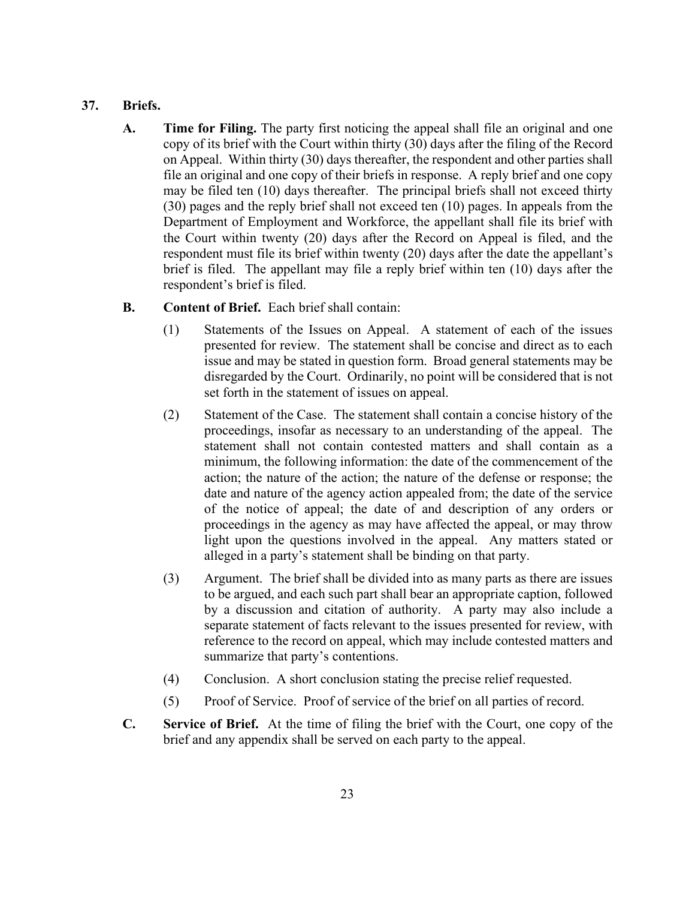# **37. Briefs.**

**A. Time for Filing.** The party first noticing the appeal shall file an original and one copy of its brief with the Court within thirty (30) days after the filing of the Record on Appeal. Within thirty (30) days thereafter, the respondent and other parties shall file an original and one copy of their briefs in response. A reply brief and one copy may be filed ten (10) days thereafter. The principal briefs shall not exceed thirty (30) pages and the reply brief shall not exceed ten (10) pages. In appeals from the Department of Employment and Workforce, the appellant shall file its brief with the Court within twenty (20) days after the Record on Appeal is filed, and the respondent must file its brief within twenty (20) days after the date the appellant's brief is filed. The appellant may file a reply brief within ten (10) days after the respondent's brief is filed.

# **B. Content of Brief.** Each brief shall contain:

- (1) Statements of the Issues on Appeal. A statement of each of the issues presented for review. The statement shall be concise and direct as to each issue and may be stated in question form. Broad general statements may be disregarded by the Court. Ordinarily, no point will be considered that is not set forth in the statement of issues on appeal.
- (2) Statement of the Case. The statement shall contain a concise history of the proceedings, insofar as necessary to an understanding of the appeal. The statement shall not contain contested matters and shall contain as a minimum, the following information: the date of the commencement of the action; the nature of the action; the nature of the defense or response; the date and nature of the agency action appealed from; the date of the service of the notice of appeal; the date of and description of any orders or proceedings in the agency as may have affected the appeal, or may throw light upon the questions involved in the appeal. Any matters stated or alleged in a party's statement shall be binding on that party.
- (3) Argument. The brief shall be divided into as many parts as there are issues to be argued, and each such part shall bear an appropriate caption, followed by a discussion and citation of authority. A party may also include a separate statement of facts relevant to the issues presented for review, with reference to the record on appeal, which may include contested matters and summarize that party's contentions.
- (4) Conclusion. A short conclusion stating the precise relief requested.
- (5) Proof of Service. Proof of service of the brief on all parties of record.
- **C. Service of Brief.** At the time of filing the brief with the Court, one copy of the brief and any appendix shall be served on each party to the appeal.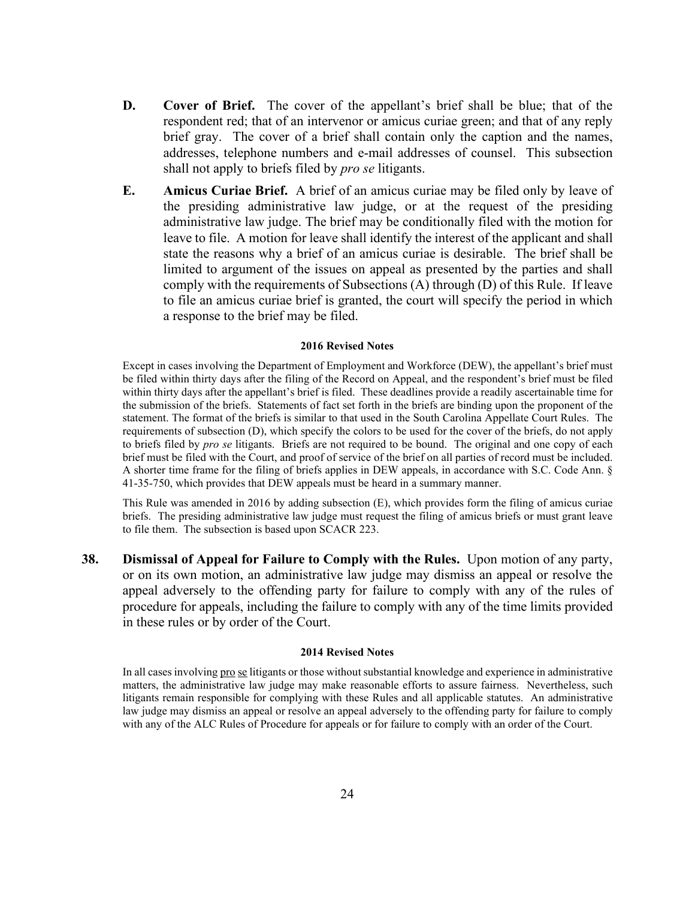- **D. Cover of Brief.** The cover of the appellant's brief shall be blue; that of the respondent red; that of an intervenor or amicus curiae green; and that of any reply brief gray. The cover of a brief shall contain only the caption and the names, addresses, telephone numbers and e-mail addresses of counsel. This subsection shall not apply to briefs filed by *pro se* litigants.
- **E. Amicus Curiae Brief.** A brief of an amicus curiae may be filed only by leave of the presiding administrative law judge, or at the request of the presiding administrative law judge. The brief may be conditionally filed with the motion for leave to file. A motion for leave shall identify the interest of the applicant and shall state the reasons why a brief of an amicus curiae is desirable. The brief shall be limited to argument of the issues on appeal as presented by the parties and shall comply with the requirements of Subsections (A) through (D) of this Rule. If leave to file an amicus curiae brief is granted, the court will specify the period in which a response to the brief may be filed.

Except in cases involving the Department of Employment and Workforce (DEW), the appellant's brief must be filed within thirty days after the filing of the Record on Appeal, and the respondent's brief must be filed within thirty days after the appellant's brief is filed. These deadlines provide a readily ascertainable time for the submission of the briefs. Statements of fact set forth in the briefs are binding upon the proponent of the statement. The format of the briefs is similar to that used in the South Carolina Appellate Court Rules. The requirements of subsection (D), which specify the colors to be used for the cover of the briefs, do not apply to briefs filed by *pro se* litigants. Briefs are not required to be bound. The original and one copy of each brief must be filed with the Court, and proof of service of the brief on all parties of record must be included. A shorter time frame for the filing of briefs applies in DEW appeals, in accordance with S.C. Code Ann. § 41-35-750, which provides that DEW appeals must be heard in a summary manner.

This Rule was amended in 2016 by adding subsection (E), which provides form the filing of amicus curiae briefs. The presiding administrative law judge must request the filing of amicus briefs or must grant leave to file them. The subsection is based upon SCACR 223.

**38. Dismissal of Appeal for Failure to Comply with the Rules.** Upon motion of any party, or on its own motion, an administrative law judge may dismiss an appeal or resolve the appeal adversely to the offending party for failure to comply with any of the rules of procedure for appeals, including the failure to comply with any of the time limits provided in these rules or by order of the Court.

#### **2014 Revised Notes**

In all cases involving pro se litigants or those without substantial knowledge and experience in administrative matters, the administrative law judge may make reasonable efforts to assure fairness. Nevertheless, such litigants remain responsible for complying with these Rules and all applicable statutes. An administrative law judge may dismiss an appeal or resolve an appeal adversely to the offending party for failure to comply with any of the ALC Rules of Procedure for appeals or for failure to comply with an order of the Court.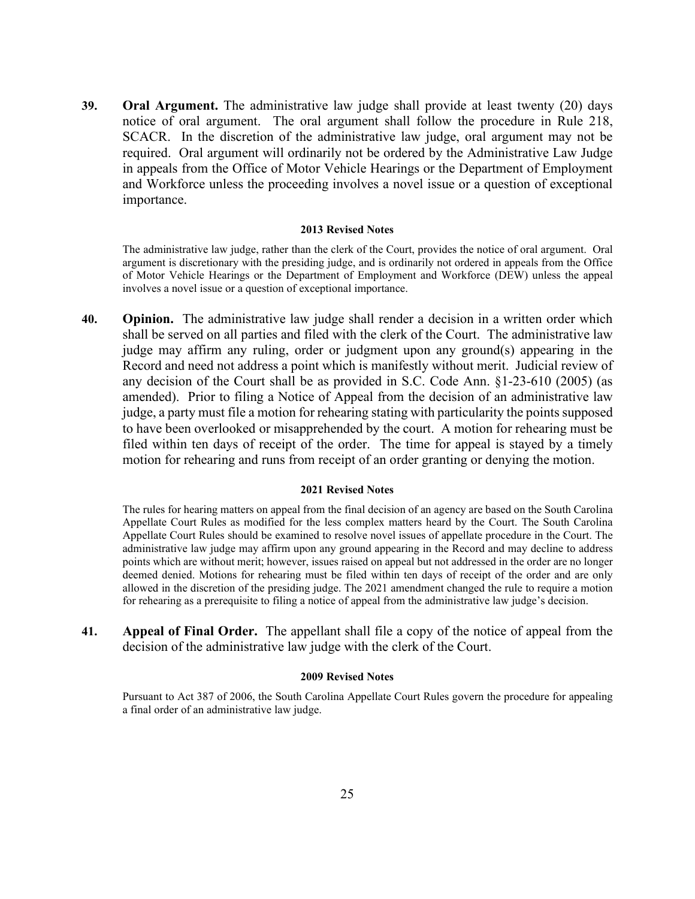**39. Oral Argument.** The administrative law judge shall provide at least twenty (20) days notice of oral argument. The oral argument shall follow the procedure in Rule 218, SCACR. In the discretion of the administrative law judge, oral argument may not be required. Oral argument will ordinarily not be ordered by the Administrative Law Judge in appeals from the Office of Motor Vehicle Hearings or the Department of Employment and Workforce unless the proceeding involves a novel issue or a question of exceptional importance.

#### **2013 Revised Notes**

The administrative law judge, rather than the clerk of the Court, provides the notice of oral argument. Oral argument is discretionary with the presiding judge, and is ordinarily not ordered in appeals from the Office of Motor Vehicle Hearings or the Department of Employment and Workforce (DEW) unless the appeal involves a novel issue or a question of exceptional importance.

**40. Opinion.** The administrative law judge shall render a decision in a written order which shall be served on all parties and filed with the clerk of the Court. The administrative law judge may affirm any ruling, order or judgment upon any ground(s) appearing in the Record and need not address a point which is manifestly without merit. Judicial review of any decision of the Court shall be as provided in S.C. Code Ann. §1-23-610 (2005) (as amended). Prior to filing a Notice of Appeal from the decision of an administrative law judge, a party must file a motion for rehearing stating with particularity the points supposed to have been overlooked or misapprehended by the court. A motion for rehearing must be filed within ten days of receipt of the order. The time for appeal is stayed by a timely motion for rehearing and runs from receipt of an order granting or denying the motion.

#### **2021 Revised Notes**

The rules for hearing matters on appeal from the final decision of an agency are based on the South Carolina Appellate Court Rules as modified for the less complex matters heard by the Court. The South Carolina Appellate Court Rules should be examined to resolve novel issues of appellate procedure in the Court. The administrative law judge may affirm upon any ground appearing in the Record and may decline to address points which are without merit; however, issues raised on appeal but not addressed in the order are no longer deemed denied. Motions for rehearing must be filed within ten days of receipt of the order and are only allowed in the discretion of the presiding judge. The 2021 amendment changed the rule to require a motion for rehearing as a prerequisite to filing a notice of appeal from the administrative law judge's decision.

**41. Appeal of Final Order.** The appellant shall file a copy of the notice of appeal from the decision of the administrative law judge with the clerk of the Court.

#### **2009 Revised Notes**

Pursuant to Act 387 of 2006, the South Carolina Appellate Court Rules govern the procedure for appealing a final order of an administrative law judge.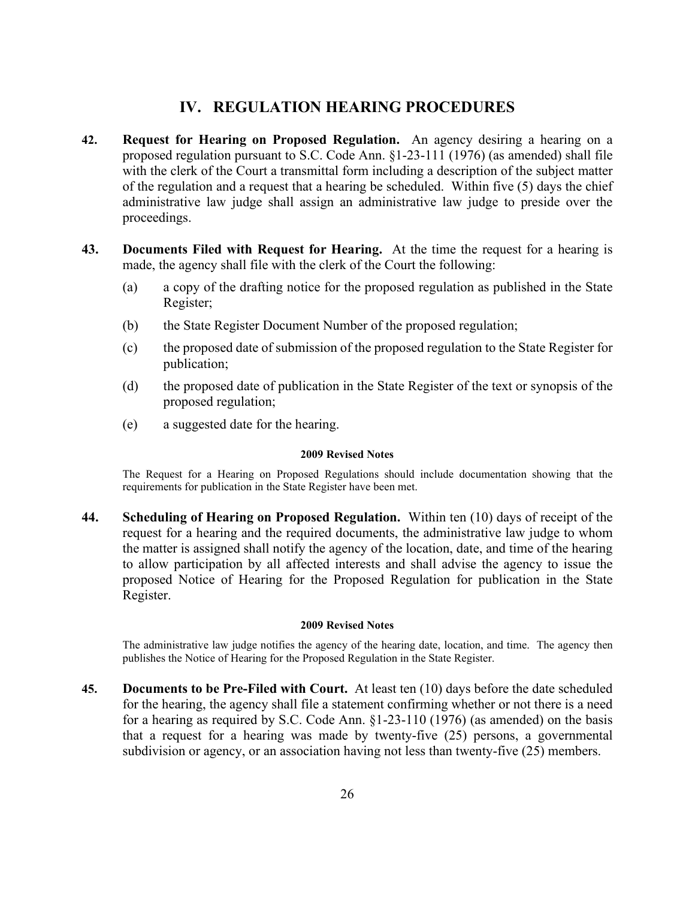# **IV. REGULATION HEARING PROCEDURES**

- **42. Request for Hearing on Proposed Regulation.** An agency desiring a hearing on a proposed regulation pursuant to S.C. Code Ann. §1-23-111 (1976) (as amended) shall file with the clerk of the Court a transmittal form including a description of the subject matter of the regulation and a request that a hearing be scheduled. Within five (5) days the chief administrative law judge shall assign an administrative law judge to preside over the proceedings.
- **43. Documents Filed with Request for Hearing.** At the time the request for a hearing is made, the agency shall file with the clerk of the Court the following:
	- (a) a copy of the drafting notice for the proposed regulation as published in the State Register;
	- (b) the State Register Document Number of the proposed regulation;
	- (c) the proposed date of submission of the proposed regulation to the State Register for publication;
	- (d) the proposed date of publication in the State Register of the text or synopsis of the proposed regulation;
	- (e) a suggested date for the hearing.

#### **2009 Revised Notes**

The Request for a Hearing on Proposed Regulations should include documentation showing that the requirements for publication in the State Register have been met.

**44. Scheduling of Hearing on Proposed Regulation.** Within ten (10) days of receipt of the request for a hearing and the required documents, the administrative law judge to whom the matter is assigned shall notify the agency of the location, date, and time of the hearing to allow participation by all affected interests and shall advise the agency to issue the proposed Notice of Hearing for the Proposed Regulation for publication in the State Register.

#### **2009 Revised Notes**

The administrative law judge notifies the agency of the hearing date, location, and time. The agency then publishes the Notice of Hearing for the Proposed Regulation in the State Register.

**45. Documents to be Pre-Filed with Court.** At least ten (10) days before the date scheduled for the hearing, the agency shall file a statement confirming whether or not there is a need for a hearing as required by S.C. Code Ann. §1-23-110 (1976) (as amended) on the basis that a request for a hearing was made by twenty-five (25) persons, a governmental subdivision or agency, or an association having not less than twenty-five (25) members.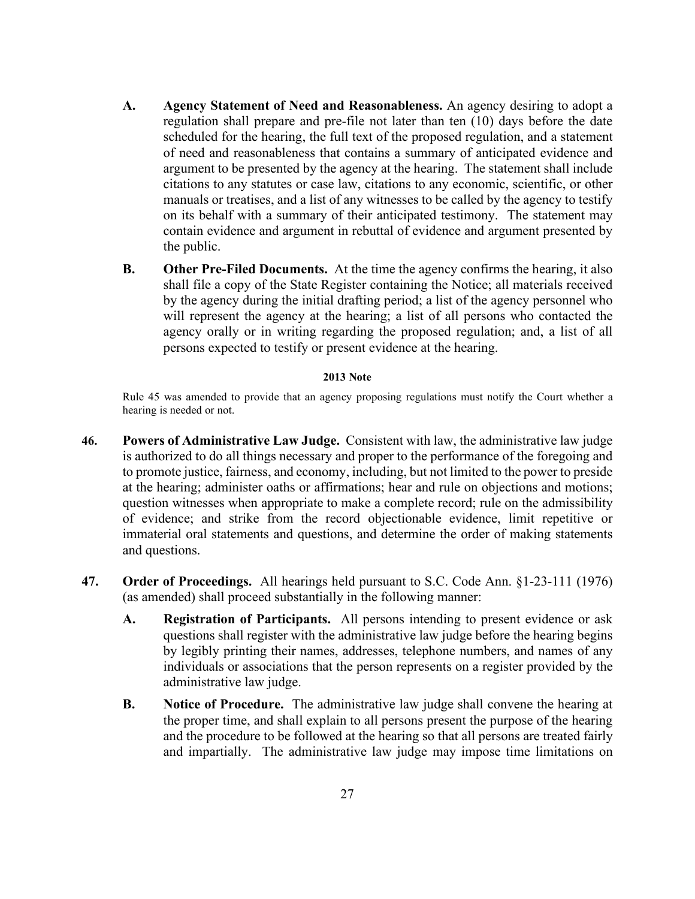- **A. Agency Statement of Need and Reasonableness.** An agency desiring to adopt a regulation shall prepare and pre-file not later than ten (10) days before the date scheduled for the hearing, the full text of the proposed regulation, and a statement of need and reasonableness that contains a summary of anticipated evidence and argument to be presented by the agency at the hearing. The statement shall include citations to any statutes or case law, citations to any economic, scientific, or other manuals or treatises, and a list of any witnesses to be called by the agency to testify on its behalf with a summary of their anticipated testimony. The statement may contain evidence and argument in rebuttal of evidence and argument presented by the public.
- **B. Other Pre-Filed Documents.** At the time the agency confirms the hearing, it also shall file a copy of the State Register containing the Notice; all materials received by the agency during the initial drafting period; a list of the agency personnel who will represent the agency at the hearing; a list of all persons who contacted the agency orally or in writing regarding the proposed regulation; and, a list of all persons expected to testify or present evidence at the hearing.

#### **2013 Note**

Rule 45 was amended to provide that an agency proposing regulations must notify the Court whether a hearing is needed or not.

- **46. Powers of Administrative Law Judge.** Consistent with law, the administrative law judge is authorized to do all things necessary and proper to the performance of the foregoing and to promote justice, fairness, and economy, including, but not limited to the power to preside at the hearing; administer oaths or affirmations; hear and rule on objections and motions; question witnesses when appropriate to make a complete record; rule on the admissibility of evidence; and strike from the record objectionable evidence, limit repetitive or immaterial oral statements and questions, and determine the order of making statements and questions.
- **47. Order of Proceedings.** All hearings held pursuant to S.C. Code Ann. §1-23-111 (1976) (as amended) shall proceed substantially in the following manner:
	- **A. Registration of Participants.** All persons intending to present evidence or ask questions shall register with the administrative law judge before the hearing begins by legibly printing their names, addresses, telephone numbers, and names of any individuals or associations that the person represents on a register provided by the administrative law judge.
	- **B. Notice of Procedure.** The administrative law judge shall convene the hearing at the proper time, and shall explain to all persons present the purpose of the hearing and the procedure to be followed at the hearing so that all persons are treated fairly and impartially. The administrative law judge may impose time limitations on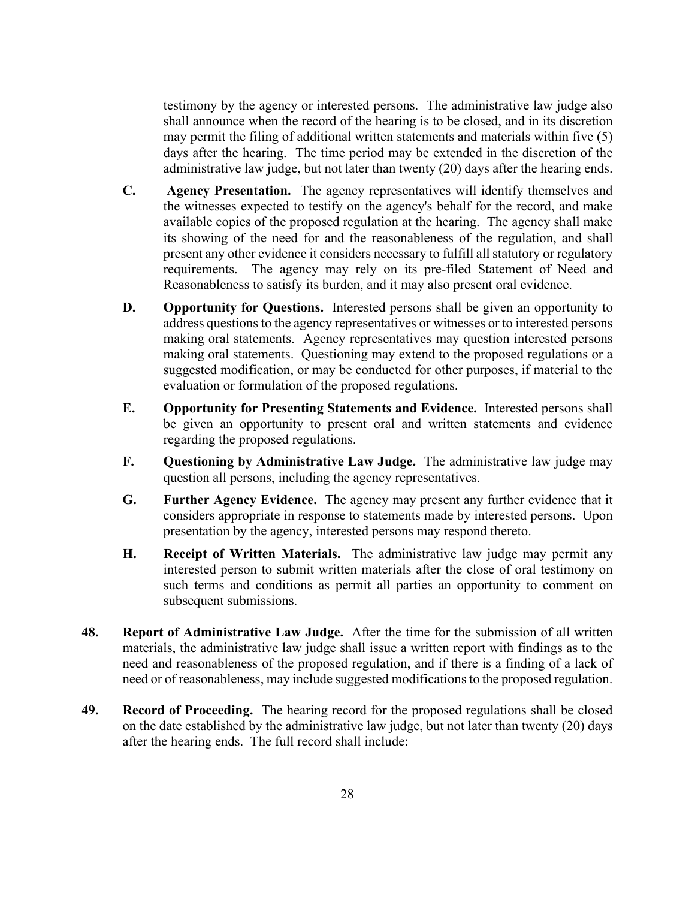testimony by the agency or interested persons. The administrative law judge also shall announce when the record of the hearing is to be closed, and in its discretion may permit the filing of additional written statements and materials within five (5) days after the hearing. The time period may be extended in the discretion of the administrative law judge, but not later than twenty (20) days after the hearing ends.

- **C. Agency Presentation.** The agency representatives will identify themselves and the witnesses expected to testify on the agency's behalf for the record, and make available copies of the proposed regulation at the hearing. The agency shall make its showing of the need for and the reasonableness of the regulation, and shall present any other evidence it considers necessary to fulfill all statutory or regulatory requirements. The agency may rely on its pre-filed Statement of Need and Reasonableness to satisfy its burden, and it may also present oral evidence.
- **D. Opportunity for Questions.** Interested persons shall be given an opportunity to address questions to the agency representatives or witnesses or to interested persons making oral statements. Agency representatives may question interested persons making oral statements. Questioning may extend to the proposed regulations or a suggested modification, or may be conducted for other purposes, if material to the evaluation or formulation of the proposed regulations.
- **E. Opportunity for Presenting Statements and Evidence.** Interested persons shall be given an opportunity to present oral and written statements and evidence regarding the proposed regulations.
- **F. Questioning by Administrative Law Judge.** The administrative law judge may question all persons, including the agency representatives.
- **G. Further Agency Evidence.** The agency may present any further evidence that it considers appropriate in response to statements made by interested persons. Upon presentation by the agency, interested persons may respond thereto.
- **H. Receipt of Written Materials.** The administrative law judge may permit any interested person to submit written materials after the close of oral testimony on such terms and conditions as permit all parties an opportunity to comment on subsequent submissions.
- **48. Report of Administrative Law Judge.** After the time for the submission of all written materials, the administrative law judge shall issue a written report with findings as to the need and reasonableness of the proposed regulation, and if there is a finding of a lack of need or of reasonableness, may include suggested modifications to the proposed regulation.
- **49. Record of Proceeding.** The hearing record for the proposed regulations shall be closed on the date established by the administrative law judge, but not later than twenty (20) days after the hearing ends. The full record shall include: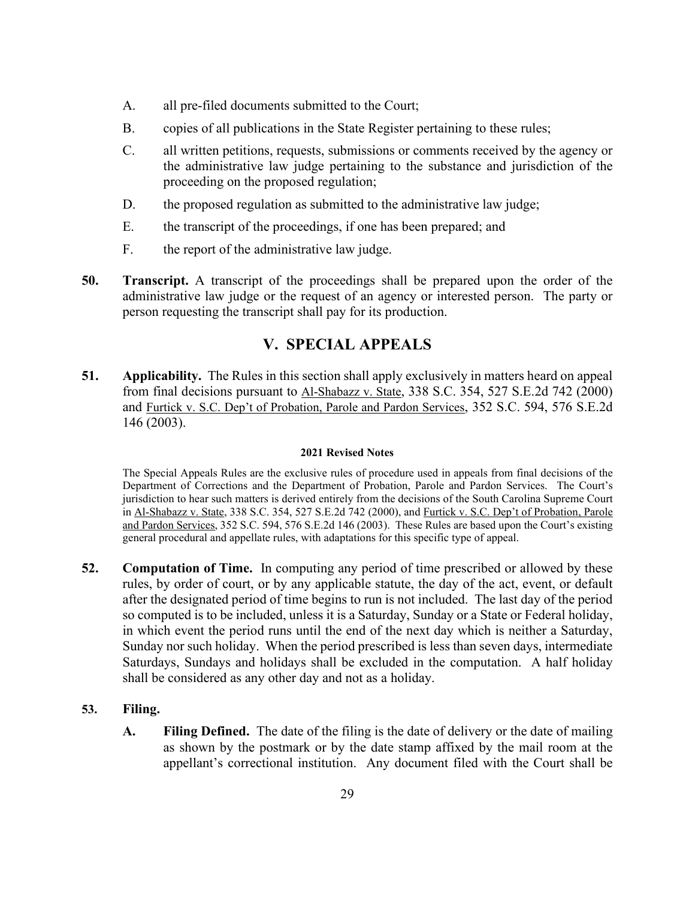- A. all pre-filed documents submitted to the Court;
- B. copies of all publications in the State Register pertaining to these rules;
- C. all written petitions, requests, submissions or comments received by the agency or the administrative law judge pertaining to the substance and jurisdiction of the proceeding on the proposed regulation;
- D. the proposed regulation as submitted to the administrative law judge;
- E. the transcript of the proceedings, if one has been prepared; and
- F. the report of the administrative law judge.
- **50. Transcript.** A transcript of the proceedings shall be prepared upon the order of the administrative law judge or the request of an agency or interested person. The party or person requesting the transcript shall pay for its production.

# **V. SPECIAL APPEALS**

**51. Applicability.** The Rules in this section shall apply exclusively in matters heard on appeal from final decisions pursuant to Al-Shabazz v. State, 338 S.C. 354, 527 S.E.2d 742 (2000) and Furtick v. S.C. Dep't of Probation, Parole and Pardon Services, 352 S.C. 594, 576 S.E.2d 146 (2003).

# **2021 Revised Notes**

The Special Appeals Rules are the exclusive rules of procedure used in appeals from final decisions of the Department of Corrections and the Department of Probation, Parole and Pardon Services. The Court's jurisdiction to hear such matters is derived entirely from the decisions of the South Carolina Supreme Court in Al-Shabazz v. State, 338 S.C. 354, 527 S.E.2d 742 (2000), and Furtick v. S.C. Dep't of Probation, Parole and Pardon Services, 352 S.C. 594, 576 S.E.2d 146 (2003). These Rules are based upon the Court's existing general procedural and appellate rules, with adaptations for this specific type of appeal.

**52. Computation of Time.** In computing any period of time prescribed or allowed by these rules, by order of court, or by any applicable statute, the day of the act, event, or default after the designated period of time begins to run is not included. The last day of the period so computed is to be included, unless it is a Saturday, Sunday or a State or Federal holiday, in which event the period runs until the end of the next day which is neither a Saturday, Sunday nor such holiday. When the period prescribed is less than seven days, intermediate Saturdays, Sundays and holidays shall be excluded in the computation. A half holiday shall be considered as any other day and not as a holiday.

# **53. Filing.**

**A. Filing Defined.** The date of the filing is the date of delivery or the date of mailing as shown by the postmark or by the date stamp affixed by the mail room at the appellant's correctional institution. Any document filed with the Court shall be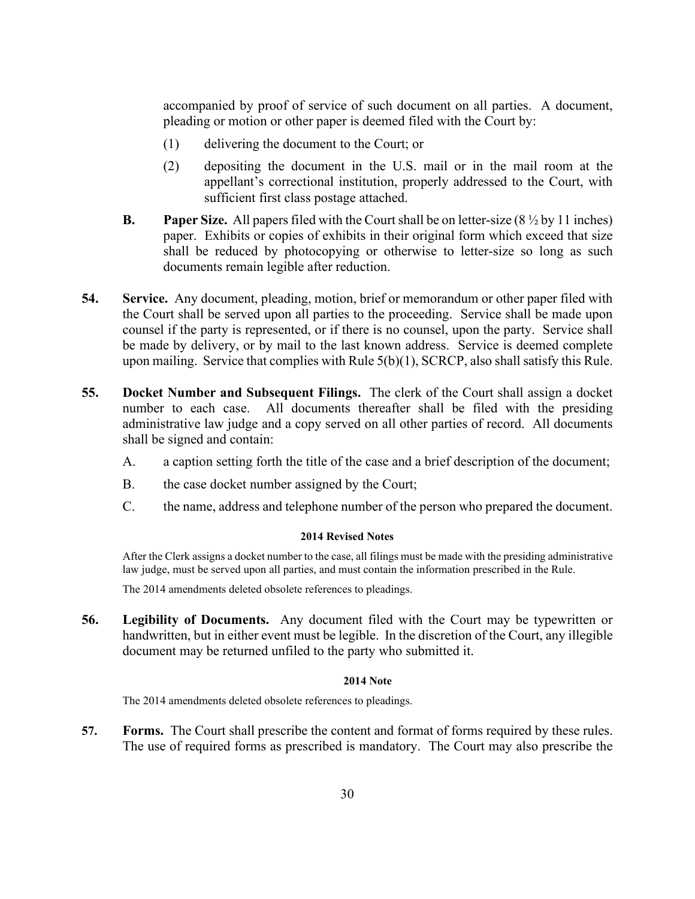accompanied by proof of service of such document on all parties. A document, pleading or motion or other paper is deemed filed with the Court by:

- (1) delivering the document to the Court; or
- (2) depositing the document in the U.S. mail or in the mail room at the appellant's correctional institution, properly addressed to the Court, with sufficient first class postage attached.
- **B. Paper Size.** All papers filed with the Court shall be on letter-size (8 ½ by 11 inches) paper. Exhibits or copies of exhibits in their original form which exceed that size shall be reduced by photocopying or otherwise to letter-size so long as such documents remain legible after reduction.
- **54. Service.** Any document, pleading, motion, brief or memorandum or other paper filed with the Court shall be served upon all parties to the proceeding. Service shall be made upon counsel if the party is represented, or if there is no counsel, upon the party. Service shall be made by delivery, or by mail to the last known address. Service is deemed complete upon mailing. Service that complies with Rule 5(b)(1), SCRCP, also shall satisfy this Rule.
- **55. Docket Number and Subsequent Filings.** The clerk of the Court shall assign a docket number to each case. All documents thereafter shall be filed with the presiding administrative law judge and a copy served on all other parties of record. All documents shall be signed and contain:
	- A. a caption setting forth the title of the case and a brief description of the document;
	- B. the case docket number assigned by the Court;
	- C. the name, address and telephone number of the person who prepared the document.

#### **2014 Revised Notes**

After the Clerk assigns a docket number to the case, all filings must be made with the presiding administrative law judge, must be served upon all parties, and must contain the information prescribed in the Rule.

The 2014 amendments deleted obsolete references to pleadings.

**56. Legibility of Documents.** Any document filed with the Court may be typewritten or handwritten, but in either event must be legible. In the discretion of the Court, any illegible document may be returned unfiled to the party who submitted it.

# **2014 Note**

The 2014 amendments deleted obsolete references to pleadings.

**57. Forms.** The Court shall prescribe the content and format of forms required by these rules. The use of required forms as prescribed is mandatory. The Court may also prescribe the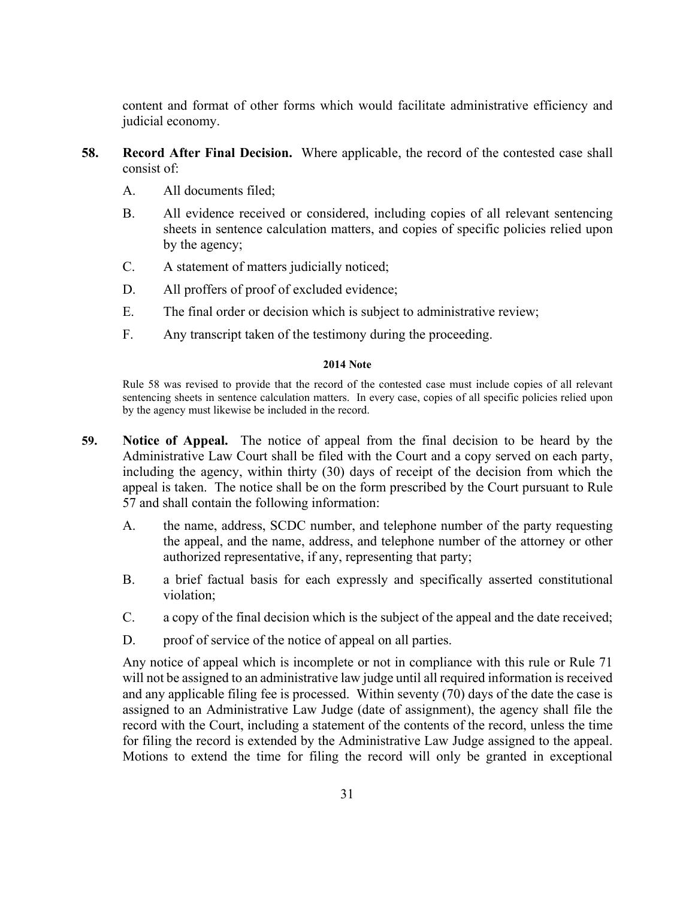content and format of other forms which would facilitate administrative efficiency and judicial economy.

- **58. Record After Final Decision.** Where applicable, the record of the contested case shall consist of:
	- A. All documents filed;
	- B. All evidence received or considered, including copies of all relevant sentencing sheets in sentence calculation matters, and copies of specific policies relied upon by the agency;
	- C. A statement of matters judicially noticed;
	- D. All proffers of proof of excluded evidence;
	- E. The final order or decision which is subject to administrative review;
	- F. Any transcript taken of the testimony during the proceeding.

### **2014 Note**

Rule 58 was revised to provide that the record of the contested case must include copies of all relevant sentencing sheets in sentence calculation matters. In every case, copies of all specific policies relied upon by the agency must likewise be included in the record.

- **59. Notice of Appeal.** The notice of appeal from the final decision to be heard by the Administrative Law Court shall be filed with the Court and a copy served on each party, including the agency, within thirty (30) days of receipt of the decision from which the appeal is taken. The notice shall be on the form prescribed by the Court pursuant to Rule 57 and shall contain the following information:
	- A. the name, address, SCDC number, and telephone number of the party requesting the appeal, and the name, address, and telephone number of the attorney or other authorized representative, if any, representing that party;
	- B. a brief factual basis for each expressly and specifically asserted constitutional violation;
	- C. a copy of the final decision which is the subject of the appeal and the date received;
	- D. proof of service of the notice of appeal on all parties.

Any notice of appeal which is incomplete or not in compliance with this rule or Rule 71 will not be assigned to an administrative law judge until all required information is received and any applicable filing fee is processed. Within seventy (70) days of the date the case is assigned to an Administrative Law Judge (date of assignment), the agency shall file the record with the Court, including a statement of the contents of the record, unless the time for filing the record is extended by the Administrative Law Judge assigned to the appeal. Motions to extend the time for filing the record will only be granted in exceptional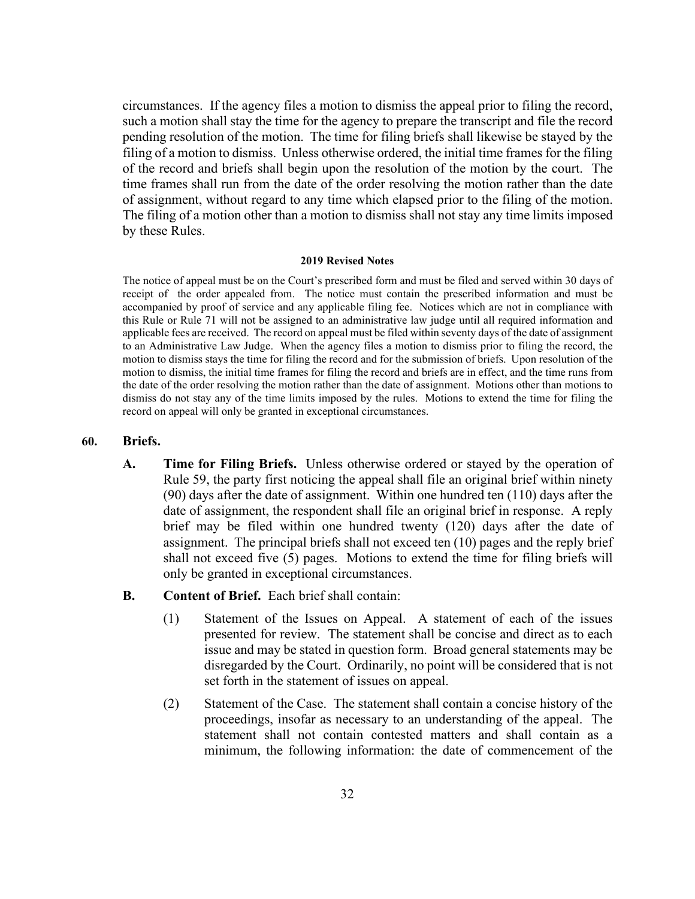circumstances. If the agency files a motion to dismiss the appeal prior to filing the record, such a motion shall stay the time for the agency to prepare the transcript and file the record pending resolution of the motion. The time for filing briefs shall likewise be stayed by the filing of a motion to dismiss. Unless otherwise ordered, the initial time frames for the filing of the record and briefs shall begin upon the resolution of the motion by the court. The time frames shall run from the date of the order resolving the motion rather than the date of assignment, without regard to any time which elapsed prior to the filing of the motion. The filing of a motion other than a motion to dismiss shall not stay any time limits imposed by these Rules.

#### **2019 Revised Notes**

The notice of appeal must be on the Court's prescribed form and must be filed and served within 30 days of receipt of the order appealed from. The notice must contain the prescribed information and must be accompanied by proof of service and any applicable filing fee. Notices which are not in compliance with this Rule or Rule 71 will not be assigned to an administrative law judge until all required information and applicable fees are received. The record on appeal must be filed within seventy days of the date of assignment to an Administrative Law Judge. When the agency files a motion to dismiss prior to filing the record, the motion to dismiss stays the time for filing the record and for the submission of briefs. Upon resolution of the motion to dismiss, the initial time frames for filing the record and briefs are in effect, and the time runs from the date of the order resolving the motion rather than the date of assignment. Motions other than motions to dismiss do not stay any of the time limits imposed by the rules. Motions to extend the time for filing the record on appeal will only be granted in exceptional circumstances.

#### **60. Briefs.**

- **A. Time for Filing Briefs.** Unless otherwise ordered or stayed by the operation of Rule 59, the party first noticing the appeal shall file an original brief within ninety (90) days after the date of assignment. Within one hundred ten (110) days after the date of assignment, the respondent shall file an original brief in response. A reply brief may be filed within one hundred twenty (120) days after the date of assignment. The principal briefs shall not exceed ten (10) pages and the reply brief shall not exceed five (5) pages. Motions to extend the time for filing briefs will only be granted in exceptional circumstances.
- **B. Content of Brief.** Each brief shall contain:
	- (1) Statement of the Issues on Appeal. A statement of each of the issues presented for review. The statement shall be concise and direct as to each issue and may be stated in question form. Broad general statements may be disregarded by the Court. Ordinarily, no point will be considered that is not set forth in the statement of issues on appeal.
	- (2) Statement of the Case. The statement shall contain a concise history of the proceedings, insofar as necessary to an understanding of the appeal. The statement shall not contain contested matters and shall contain as a minimum, the following information: the date of commencement of the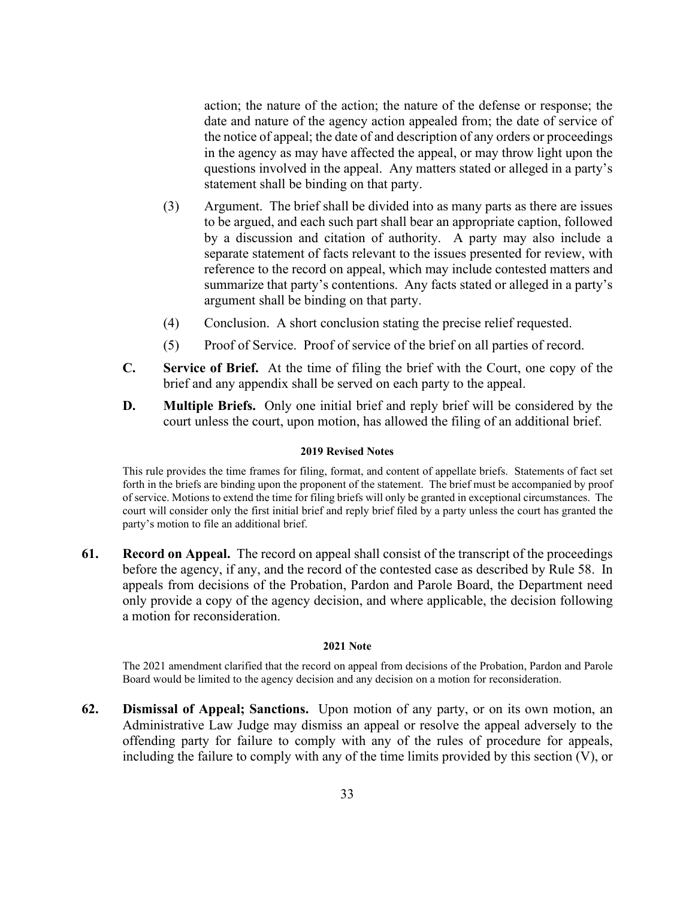action; the nature of the action; the nature of the defense or response; the date and nature of the agency action appealed from; the date of service of the notice of appeal; the date of and description of any orders or proceedings in the agency as may have affected the appeal, or may throw light upon the questions involved in the appeal. Any matters stated or alleged in a party's statement shall be binding on that party.

- (3) Argument. The brief shall be divided into as many parts as there are issues to be argued, and each such part shall bear an appropriate caption, followed by a discussion and citation of authority. A party may also include a separate statement of facts relevant to the issues presented for review, with reference to the record on appeal, which may include contested matters and summarize that party's contentions. Any facts stated or alleged in a party's argument shall be binding on that party.
- (4) Conclusion. A short conclusion stating the precise relief requested.
- (5) Proof of Service. Proof of service of the brief on all parties of record.
- **C. Service of Brief.** At the time of filing the brief with the Court, one copy of the brief and any appendix shall be served on each party to the appeal.
- **D. Multiple Briefs.** Only one initial brief and reply brief will be considered by the court unless the court, upon motion, has allowed the filing of an additional brief.

#### **2019 Revised Notes**

This rule provides the time frames for filing, format, and content of appellate briefs. Statements of fact set forth in the briefs are binding upon the proponent of the statement. The brief must be accompanied by proof of service. Motions to extend the time for filing briefs will only be granted in exceptional circumstances. The court will consider only the first initial brief and reply brief filed by a party unless the court has granted the party's motion to file an additional brief.

**61. Record on Appeal.** The record on appeal shall consist of the transcript of the proceedings before the agency, if any, and the record of the contested case as described by Rule 58. In appeals from decisions of the Probation, Pardon and Parole Board, the Department need only provide a copy of the agency decision, and where applicable, the decision following a motion for reconsideration.

#### **2021 Note**

The 2021 amendment clarified that the record on appeal from decisions of the Probation, Pardon and Parole Board would be limited to the agency decision and any decision on a motion for reconsideration.

**62. Dismissal of Appeal; Sanctions.** Upon motion of any party, or on its own motion, an Administrative Law Judge may dismiss an appeal or resolve the appeal adversely to the offending party for failure to comply with any of the rules of procedure for appeals, including the failure to comply with any of the time limits provided by this section (V), or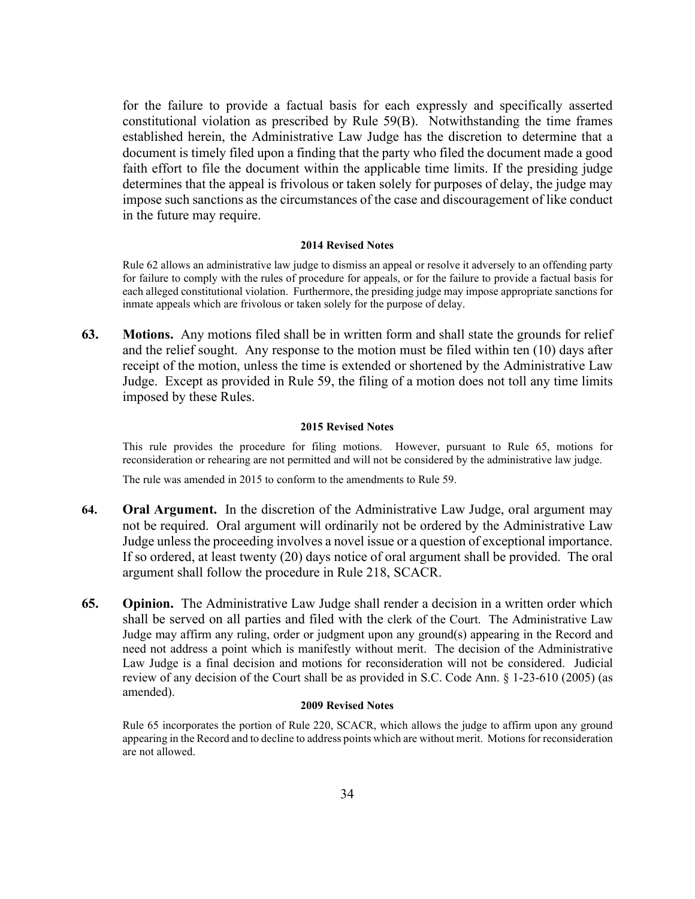for the failure to provide a factual basis for each expressly and specifically asserted constitutional violation as prescribed by Rule 59(B). Notwithstanding the time frames established herein, the Administrative Law Judge has the discretion to determine that a document is timely filed upon a finding that the party who filed the document made a good faith effort to file the document within the applicable time limits. If the presiding judge determines that the appeal is frivolous or taken solely for purposes of delay, the judge may impose such sanctions as the circumstances of the case and discouragement of like conduct in the future may require.

#### **2014 Revised Notes**

Rule 62 allows an administrative law judge to dismiss an appeal or resolve it adversely to an offending party for failure to comply with the rules of procedure for appeals, or for the failure to provide a factual basis for each alleged constitutional violation. Furthermore, the presiding judge may impose appropriate sanctions for inmate appeals which are frivolous or taken solely for the purpose of delay.

**63. Motions.** Any motions filed shall be in written form and shall state the grounds for relief and the relief sought. Any response to the motion must be filed within ten (10) days after receipt of the motion, unless the time is extended or shortened by the Administrative Law Judge. Except as provided in Rule 59, the filing of a motion does not toll any time limits imposed by these Rules.

#### **2015 Revised Notes**

This rule provides the procedure for filing motions. However, pursuant to Rule 65, motions for reconsideration or rehearing are not permitted and will not be considered by the administrative law judge.

The rule was amended in 2015 to conform to the amendments to Rule 59.

- **64. Oral Argument.** In the discretion of the Administrative Law Judge, oral argument may not be required. Oral argument will ordinarily not be ordered by the Administrative Law Judge unless the proceeding involves a novel issue or a question of exceptional importance. If so ordered, at least twenty (20) days notice of oral argument shall be provided. The oral argument shall follow the procedure in Rule 218, SCACR.
- **65. Opinion.** The Administrative Law Judge shall render a decision in a written order which shall be served on all parties and filed with the clerk of the Court. The Administrative Law Judge may affirm any ruling, order or judgment upon any ground(s) appearing in the Record and need not address a point which is manifestly without merit. The decision of the Administrative Law Judge is a final decision and motions for reconsideration will not be considered. Judicial review of any decision of the Court shall be as provided in S.C. Code Ann. § 1-23-610 (2005) (as amended).

#### **2009 Revised Notes**

Rule 65 incorporates the portion of Rule 220, SCACR, which allows the judge to affirm upon any ground appearing in the Record and to decline to address points which are without merit. Motions for reconsideration are not allowed.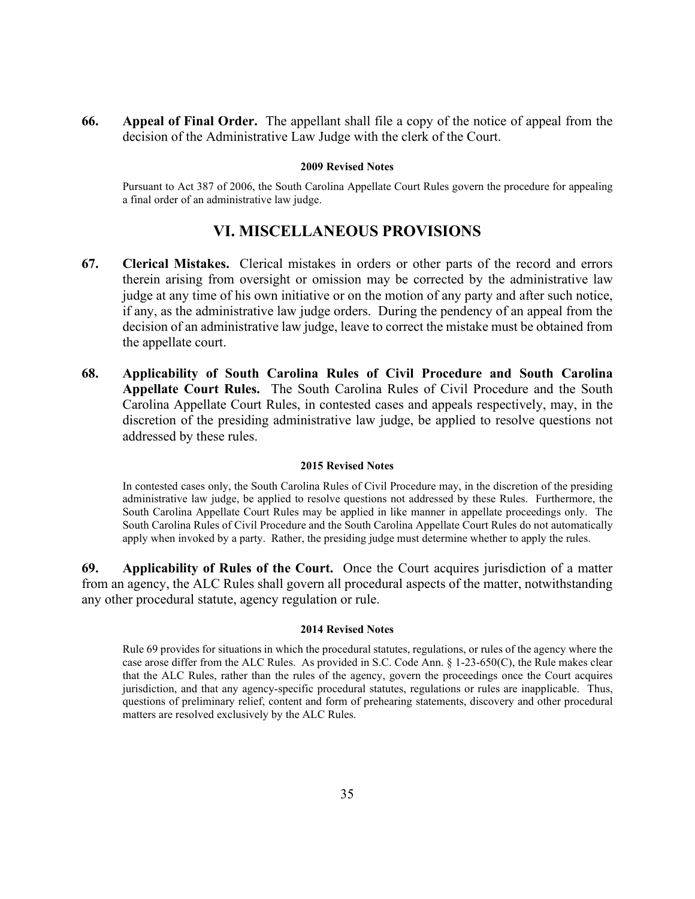**66. Appeal of Final Order.** The appellant shall file a copy of the notice of appeal from the decision of the Administrative Law Judge with the clerk of the Court.

#### **2009 Revised Notes**

Pursuant to Act 387 of 2006, the South Carolina Appellate Court Rules govern the procedure for appealing a final order of an administrative law judge.

# **VI. MISCELLANEOUS PROVISIONS**

- **67. Clerical Mistakes.** Clerical mistakes in orders or other parts of the record and errors therein arising from oversight or omission may be corrected by the administrative law judge at any time of his own initiative or on the motion of any party and after such notice, if any, as the administrative law judge orders. During the pendency of an appeal from the decision of an administrative law judge, leave to correct the mistake must be obtained from the appellate court.
- **68. Applicability of South Carolina Rules of Civil Procedure and South Carolina Appellate Court Rules.** The South Carolina Rules of Civil Procedure and the South Carolina Appellate Court Rules, in contested cases and appeals respectively, may, in the discretion of the presiding administrative law judge, be applied to resolve questions not addressed by these rules.

#### **2015 Revised Notes**

In contested cases only, the South Carolina Rules of Civil Procedure may, in the discretion of the presiding administrative law judge, be applied to resolve questions not addressed by these Rules. Furthermore, the South Carolina Appellate Court Rules may be applied in like manner in appellate proceedings only. The South Carolina Rules of Civil Procedure and the South Carolina Appellate Court Rules do not automatically apply when invoked by a party. Rather, the presiding judge must determine whether to apply the rules.

**69. Applicability of Rules of the Court.** Once the Court acquires jurisdiction of a matter from an agency, the ALC Rules shall govern all procedural aspects of the matter, notwithstanding any other procedural statute, agency regulation or rule.

#### **2014 Revised Notes**

Rule 69 provides for situations in which the procedural statutes, regulations, or rules of the agency where the case arose differ from the ALC Rules. As provided in S.C. Code Ann. § 1-23-650(C), the Rule makes clear that the ALC Rules, rather than the rules of the agency, govern the proceedings once the Court acquires jurisdiction, and that any agency-specific procedural statutes, regulations or rules are inapplicable. Thus, questions of preliminary relief, content and form of prehearing statements, discovery and other procedural matters are resolved exclusively by the ALC Rules.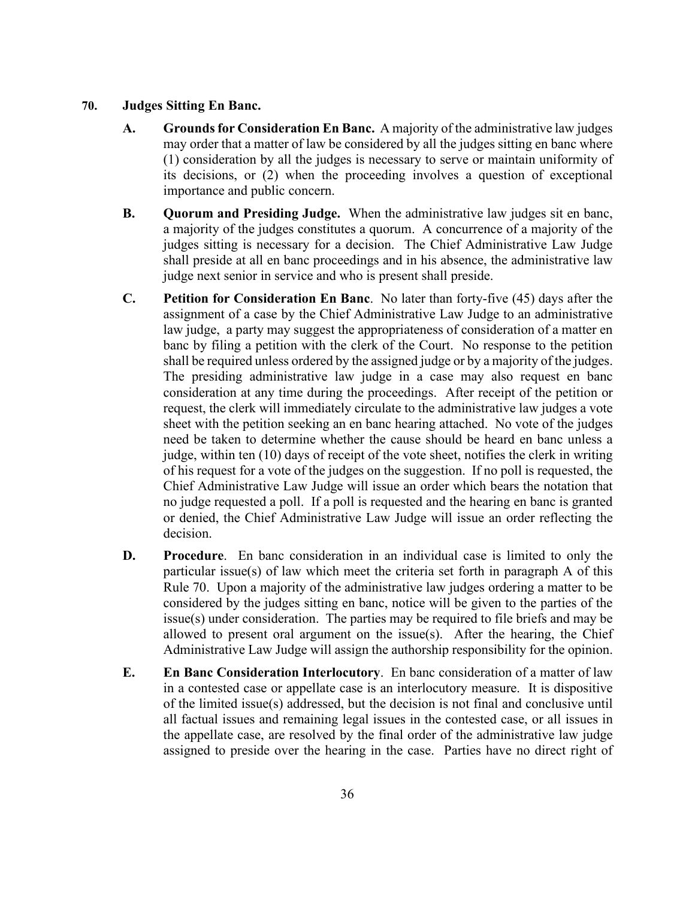# **70. Judges Sitting En Banc.**

- **A. Grounds for Consideration En Banc.** A majority of the administrative law judges may order that a matter of law be considered by all the judges sitting en banc where (1) consideration by all the judges is necessary to serve or maintain uniformity of its decisions, or (2) when the proceeding involves a question of exceptional importance and public concern.
- **B. Quorum and Presiding Judge.** When the administrative law judges sit en banc, a majority of the judges constitutes a quorum. A concurrence of a majority of the judges sitting is necessary for a decision. The Chief Administrative Law Judge shall preside at all en banc proceedings and in his absence, the administrative law judge next senior in service and who is present shall preside.
- **C. Petition for Consideration En Banc**. No later than forty-five (45) days after the assignment of a case by the Chief Administrative Law Judge to an administrative law judge, a party may suggest the appropriateness of consideration of a matter en banc by filing a petition with the clerk of the Court. No response to the petition shall be required unless ordered by the assigned judge or by a majority of the judges. The presiding administrative law judge in a case may also request en banc consideration at any time during the proceedings. After receipt of the petition or request, the clerk will immediately circulate to the administrative law judges a vote sheet with the petition seeking an en banc hearing attached. No vote of the judges need be taken to determine whether the cause should be heard en banc unless a judge, within ten (10) days of receipt of the vote sheet, notifies the clerk in writing of his request for a vote of the judges on the suggestion. If no poll is requested, the Chief Administrative Law Judge will issue an order which bears the notation that no judge requested a poll. If a poll is requested and the hearing en banc is granted or denied, the Chief Administrative Law Judge will issue an order reflecting the decision.
- **D. Procedure**. En banc consideration in an individual case is limited to only the particular issue(s) of law which meet the criteria set forth in paragraph A of this Rule 70. Upon a majority of the administrative law judges ordering a matter to be considered by the judges sitting en banc, notice will be given to the parties of the issue(s) under consideration. The parties may be required to file briefs and may be allowed to present oral argument on the issue(s). After the hearing, the Chief Administrative Law Judge will assign the authorship responsibility for the opinion.
- **E. En Banc Consideration Interlocutory**. En banc consideration of a matter of law in a contested case or appellate case is an interlocutory measure. It is dispositive of the limited issue(s) addressed, but the decision is not final and conclusive until all factual issues and remaining legal issues in the contested case, or all issues in the appellate case, are resolved by the final order of the administrative law judge assigned to preside over the hearing in the case. Parties have no direct right of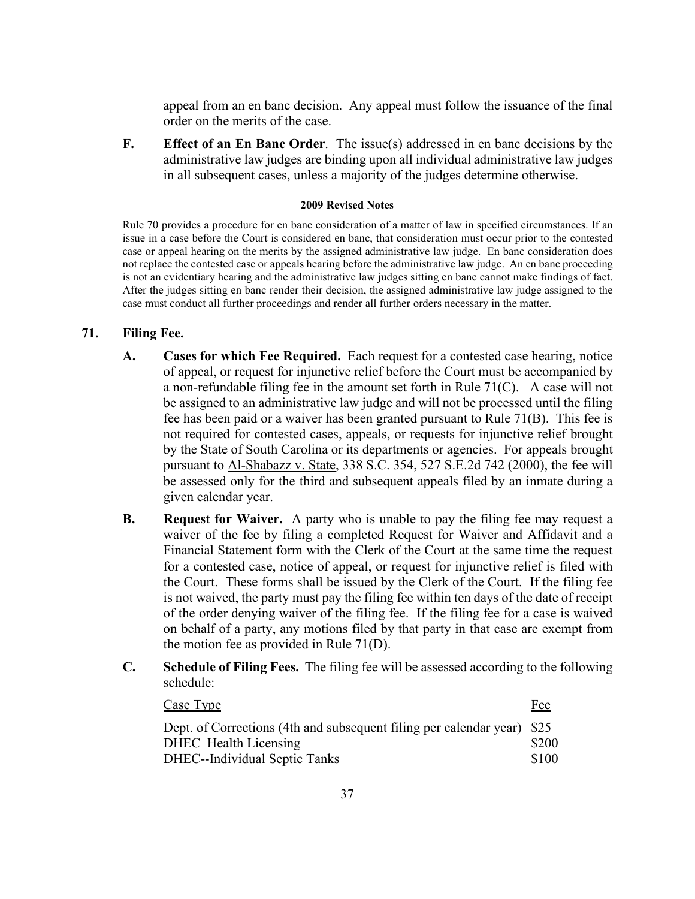appeal from an en banc decision. Any appeal must follow the issuance of the final order on the merits of the case.

**F. Effect of an En Banc Order**. The issue(s) addressed in en banc decisions by the administrative law judges are binding upon all individual administrative law judges in all subsequent cases, unless a majority of the judges determine otherwise.

#### **2009 Revised Notes**

Rule 70 provides a procedure for en banc consideration of a matter of law in specified circumstances. If an issue in a case before the Court is considered en banc, that consideration must occur prior to the contested case or appeal hearing on the merits by the assigned administrative law judge. En banc consideration does not replace the contested case or appeals hearing before the administrative law judge. An en banc proceeding is not an evidentiary hearing and the administrative law judges sitting en banc cannot make findings of fact. After the judges sitting en banc render their decision, the assigned administrative law judge assigned to the case must conduct all further proceedings and render all further orders necessary in the matter.

# **71. Filing Fee.**

- **A. Cases for which Fee Required.** Each request for a contested case hearing, notice of appeal, or request for injunctive relief before the Court must be accompanied by a non-refundable filing fee in the amount set forth in Rule 71(C). A case will not be assigned to an administrative law judge and will not be processed until the filing fee has been paid or a waiver has been granted pursuant to Rule 71(B). This fee is not required for contested cases, appeals, or requests for injunctive relief brought by the State of South Carolina or its departments or agencies. For appeals brought pursuant to Al-Shabazz v. State, 338 S.C. 354, 527 S.E.2d 742 (2000), the fee will be assessed only for the third and subsequent appeals filed by an inmate during a given calendar year.
- **B. Request for Waiver.** A party who is unable to pay the filing fee may request a waiver of the fee by filing a completed Request for Waiver and Affidavit and a Financial Statement form with the Clerk of the Court at the same time the request for a contested case, notice of appeal, or request for injunctive relief is filed with the Court. These forms shall be issued by the Clerk of the Court. If the filing fee is not waived, the party must pay the filing fee within ten days of the date of receipt of the order denying waiver of the filing fee. If the filing fee for a case is waived on behalf of a party, any motions filed by that party in that case are exempt from the motion fee as provided in Rule 71(D).
- **C. Schedule of Filing Fees.** The filing fee will be assessed according to the following schedule:

| Case Type                                                                                                                         | Fee            |
|-----------------------------------------------------------------------------------------------------------------------------------|----------------|
| Dept. of Corrections (4th and subsequent filing per calendar year) \$25<br>DHEC-Health Licensing<br>DHEC--Individual Septic Tanks | \$200<br>\$100 |
|                                                                                                                                   |                |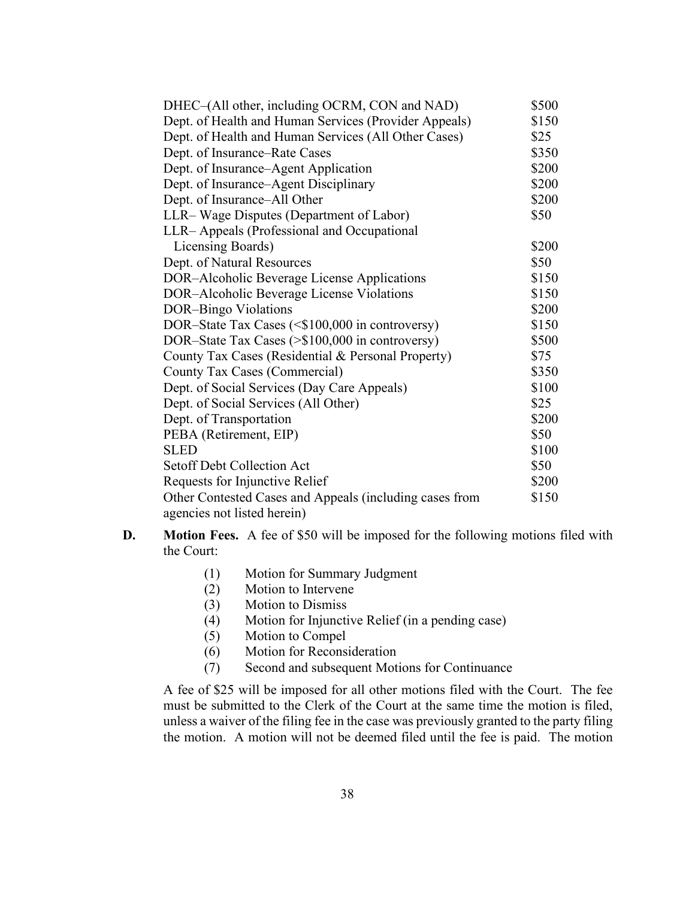| DHEC-(All other, including OCRM, CON and NAD)           | \$500 |
|---------------------------------------------------------|-------|
| Dept. of Health and Human Services (Provider Appeals)   | \$150 |
| Dept. of Health and Human Services (All Other Cases)    | \$25  |
| Dept. of Insurance–Rate Cases                           | \$350 |
| Dept. of Insurance–Agent Application                    | \$200 |
| Dept. of Insurance-Agent Disciplinary                   | \$200 |
| Dept. of Insurance-All Other                            | \$200 |
| LLR– Wage Disputes (Department of Labor)                | \$50  |
| LLR– Appeals (Professional and Occupational             |       |
| Licensing Boards)                                       | \$200 |
| Dept. of Natural Resources                              | \$50  |
| DOR-Alcoholic Beverage License Applications             | \$150 |
| DOR-Alcoholic Beverage License Violations               | \$150 |
| DOR-Bingo Violations                                    | \$200 |
| DOR-State Tax Cases (<\$100,000 in controversy)         | \$150 |
| DOR-State Tax Cases (>\$100,000 in controversy)         | \$500 |
| County Tax Cases (Residential & Personal Property)      | \$75  |
| County Tax Cases (Commercial)                           | \$350 |
| Dept. of Social Services (Day Care Appeals)             | \$100 |
| Dept. of Social Services (All Other)                    | \$25  |
| Dept. of Transportation                                 | \$200 |
| PEBA (Retirement, EIP)                                  | \$50  |
| <b>SLED</b>                                             | \$100 |
| <b>Setoff Debt Collection Act</b>                       | \$50  |
| Requests for Injunctive Relief                          | \$200 |
| Other Contested Cases and Appeals (including cases from | \$150 |
| agencies not listed herein)                             |       |

- **D. Motion Fees.** A fee of \$50 will be imposed for the following motions filed with the Court:
	- (1) Motion for Summary Judgment
	- (2) Motion to Intervene
	- (3) Motion to Dismiss
	- (4) Motion for Injunctive Relief (in a pending case)
	- (5) Motion to Compel
	- (6) Motion for Reconsideration
	- (7) Second and subsequent Motions for Continuance

A fee of \$25 will be imposed for all other motions filed with the Court. The fee must be submitted to the Clerk of the Court at the same time the motion is filed, unless a waiver of the filing fee in the case was previously granted to the party filing the motion. A motion will not be deemed filed until the fee is paid. The motion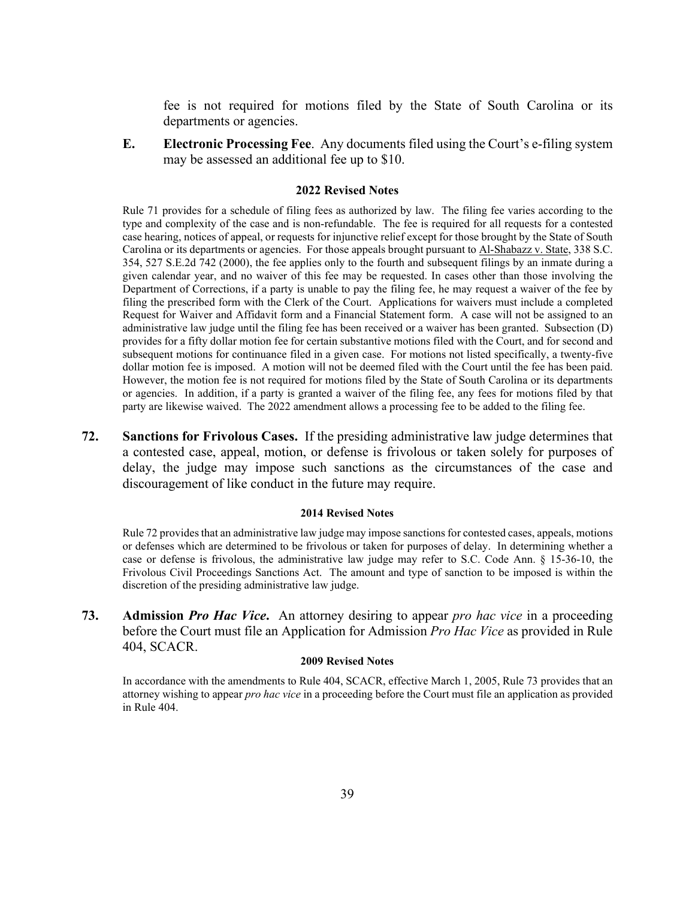fee is not required for motions filed by the State of South Carolina or its departments or agencies.

**E. Electronic Processing Fee**. Any documents filed using the Court's e-filing system may be assessed an additional fee up to \$10.

## **2022 Revised Notes**

Rule 71 provides for a schedule of filing fees as authorized by law. The filing fee varies according to the type and complexity of the case and is non-refundable. The fee is required for all requests for a contested case hearing, notices of appeal, or requests for injunctive relief except for those brought by the State of South Carolina or its departments or agencies. For those appeals brought pursuant to Al-Shabazz v. State, 338 S.C. 354, 527 S.E.2d 742 (2000), the fee applies only to the fourth and subsequent filings by an inmate during a given calendar year, and no waiver of this fee may be requested. In cases other than those involving the Department of Corrections, if a party is unable to pay the filing fee, he may request a waiver of the fee by filing the prescribed form with the Clerk of the Court. Applications for waivers must include a completed Request for Waiver and Affidavit form and a Financial Statement form. A case will not be assigned to an administrative law judge until the filing fee has been received or a waiver has been granted. Subsection (D) provides for a fifty dollar motion fee for certain substantive motions filed with the Court, and for second and subsequent motions for continuance filed in a given case. For motions not listed specifically, a twenty-five dollar motion fee is imposed. A motion will not be deemed filed with the Court until the fee has been paid. However, the motion fee is not required for motions filed by the State of South Carolina or its departments or agencies. In addition, if a party is granted a waiver of the filing fee, any fees for motions filed by that party are likewise waived. The 2022 amendment allows a processing fee to be added to the filing fee.

**72. Sanctions for Frivolous Cases.** If the presiding administrative law judge determines that a contested case, appeal, motion, or defense is frivolous or taken solely for purposes of delay, the judge may impose such sanctions as the circumstances of the case and discouragement of like conduct in the future may require.

#### **2014 Revised Notes**

Rule 72 provides that an administrative law judge may impose sanctions for contested cases, appeals, motions or defenses which are determined to be frivolous or taken for purposes of delay. In determining whether a case or defense is frivolous, the administrative law judge may refer to S.C. Code Ann. § 15-36-10, the Frivolous Civil Proceedings Sanctions Act. The amount and type of sanction to be imposed is within the discretion of the presiding administrative law judge.

**73. Admission** *Pro Hac Vice***.** An attorney desiring to appear *pro hac vice* in a proceeding before the Court must file an Application for Admission *Pro Hac Vice* as provided in Rule 404, SCACR.

#### **2009 Revised Notes**

In accordance with the amendments to Rule 404, SCACR, effective March 1, 2005, Rule 73 provides that an attorney wishing to appear *pro hac vice* in a proceeding before the Court must file an application as provided in Rule 404.